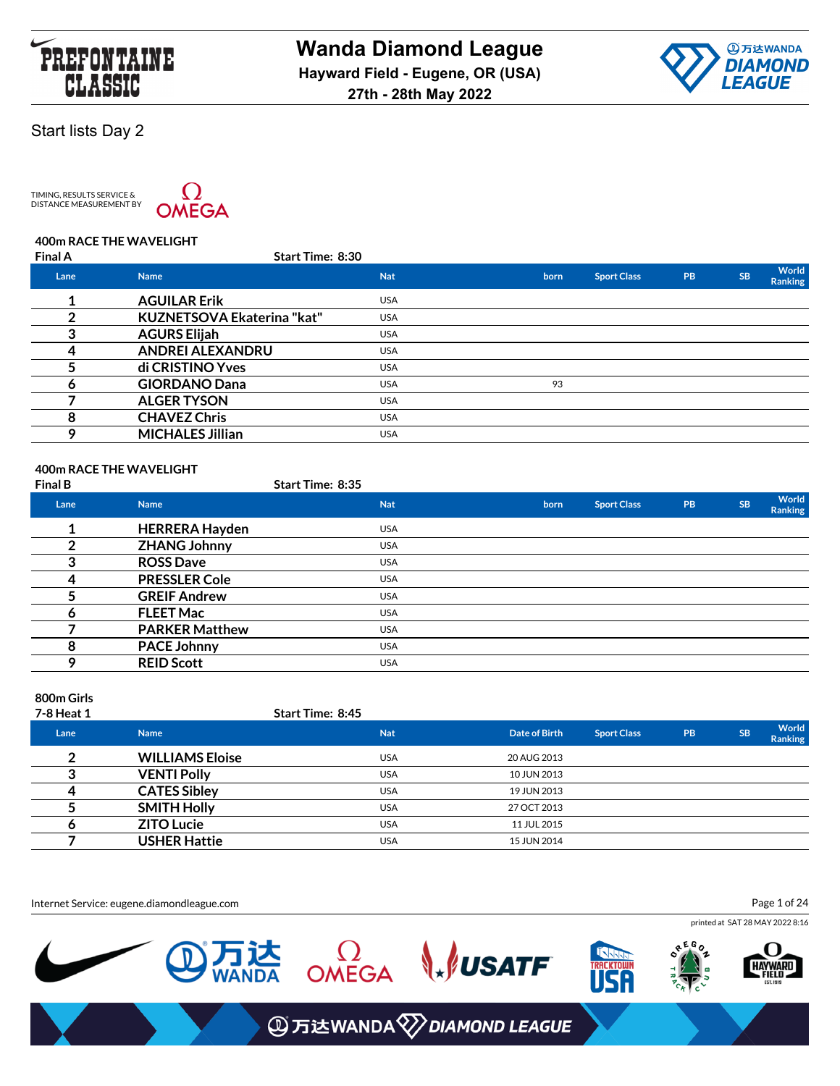



TIMING, RESULTS SERVICE &<br>DISTANCE MEASUREMENT BY



### **400m RACE THE WAVELIGHT**

| <b>Final A</b> | <b>Start Time: 8:30</b>    |            |      |                    |    |           |                         |
|----------------|----------------------------|------------|------|--------------------|----|-----------|-------------------------|
| Lane           | <b>Name</b>                | <b>Nat</b> | born | <b>Sport Class</b> | PB | <b>SB</b> | World<br><b>Ranking</b> |
|                | <b>AGUILAR Erik</b>        | <b>USA</b> |      |                    |    |           |                         |
| ົ              | KUZNETSOVA Ekaterina "kat" | <b>USA</b> |      |                    |    |           |                         |
| ≏              | <b>AGURS Elijah</b>        | <b>USA</b> |      |                    |    |           |                         |
|                | <b>ANDREI ALEXANDRU</b>    | <b>USA</b> |      |                    |    |           |                         |
|                | di CRISTINO Yves           | <b>USA</b> |      |                    |    |           |                         |
| n              | <b>GIORDANO Dana</b>       | <b>USA</b> | 93   |                    |    |           |                         |
|                | <b>ALGER TYSON</b>         | <b>USA</b> |      |                    |    |           |                         |
| 8              | <b>CHAVEZ Chris</b>        | <b>USA</b> |      |                    |    |           |                         |
| 9              | <b>MICHALES Jillian</b>    | <b>USA</b> |      |                    |    |           |                         |
|                |                            |            |      |                    |    |           |                         |

### **400m RACE THE WAVELIGHT**

| <b>Final B</b> |                       | <b>Start Time: 8:35</b> |      |                    |           |           |                                |
|----------------|-----------------------|-------------------------|------|--------------------|-----------|-----------|--------------------------------|
| Lane           | <b>Name</b>           | <b>Nat</b>              | born | <b>Sport Class</b> | <b>PB</b> | <b>SB</b> | <b>World</b><br><b>Ranking</b> |
|                | <b>HERRERA Hayden</b> | <b>USA</b>              |      |                    |           |           |                                |
| 2              | <b>ZHANG Johnny</b>   | <b>USA</b>              |      |                    |           |           |                                |
| 3              | <b>ROSS Dave</b>      | <b>USA</b>              |      |                    |           |           |                                |
| 4              | <b>PRESSLER Cole</b>  | <b>USA</b>              |      |                    |           |           |                                |
|                | <b>GREIF Andrew</b>   | <b>USA</b>              |      |                    |           |           |                                |
| O              | <b>FLEET Mac</b>      | <b>USA</b>              |      |                    |           |           |                                |
|                | <b>PARKER Matthew</b> | <b>USA</b>              |      |                    |           |           |                                |
| 8              | <b>PACE Johnny</b>    | <b>USA</b>              |      |                    |           |           |                                |
| Q              | <b>REID Scott</b>     | <b>USA</b>              |      |                    |           |           |                                |

#### **800m Girls**

| 7-8 Heat 1 |                        | <b>Start Time: 8:45</b> |               |                    |           |           |                                |
|------------|------------------------|-------------------------|---------------|--------------------|-----------|-----------|--------------------------------|
| Lane       | <b>Name</b>            | <b>Nat</b>              | Date of Birth | <b>Sport Class</b> | <b>PB</b> | <b>SB</b> | <b>World</b><br><b>Ranking</b> |
| ົ          | <b>WILLIAMS Eloise</b> | <b>USA</b>              | 20 AUG 2013   |                    |           |           |                                |
|            | <b>VENTI Polly</b>     | <b>USA</b>              | 10 JUN 2013   |                    |           |           |                                |
|            | <b>CATES Sibley</b>    | <b>USA</b>              | 19 JUN 2013   |                    |           |           |                                |
|            | <b>SMITH Holly</b>     | <b>USA</b>              | 27 OCT 2013   |                    |           |           |                                |
|            | <b>ZITO Lucie</b>      | <b>USA</b>              | 11 JUL 2015   |                    |           |           |                                |
|            | <b>USHER Hattie</b>    | <b>USA</b>              | 15 JUN 2014   |                    |           |           |                                |

Internet Service: eugene.diamondleague.com

Page 1 of 24

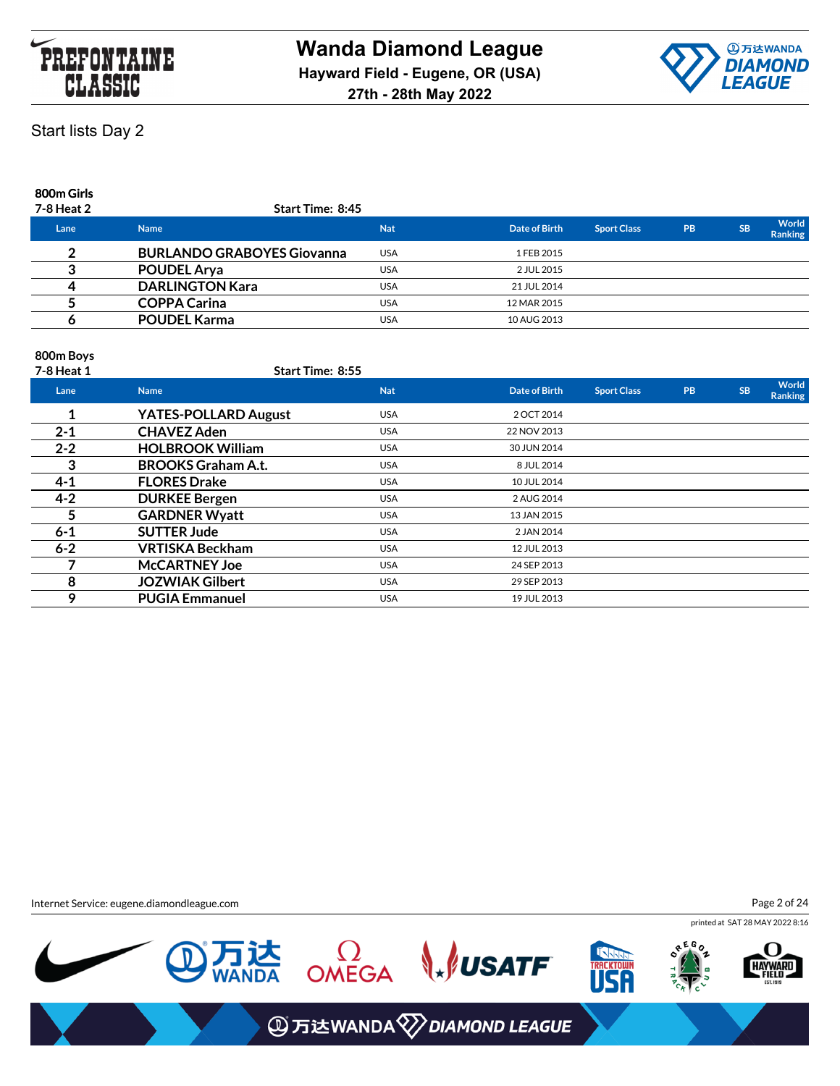



### **800m Girls**

| 7-8 Heat 2 | Start Time: 8:45                  |            |               |                    |           |           |                                |
|------------|-----------------------------------|------------|---------------|--------------------|-----------|-----------|--------------------------------|
| Lane       | <b>Name</b>                       | <b>Nat</b> | Date of Birth | <b>Sport Class</b> | <b>PB</b> | <b>SB</b> | <b>World</b><br><b>Ranking</b> |
|            | <b>BURLANDO GRABOYES Giovanna</b> | <b>USA</b> | 1 FEB 2015    |                    |           |           |                                |
|            | <b>POUDEL Arya</b>                | <b>USA</b> | 2 JUL 2015    |                    |           |           |                                |
|            | <b>DARLINGTON Kara</b>            | <b>USA</b> | 21 JUL 2014   |                    |           |           |                                |
|            | <b>COPPA Carina</b>               | <b>USA</b> | 12 MAR 2015   |                    |           |           |                                |
|            | <b>POUDEL Karma</b>               | <b>USA</b> | 10 AUG 2013   |                    |           |           |                                |
|            |                                   |            |               |                    |           |           |                                |

### **800m Boys**

| 7-8 Heat 1 | Start Time: 8:55            |            |               |                    |           |           |                         |
|------------|-----------------------------|------------|---------------|--------------------|-----------|-----------|-------------------------|
| Lane       | <b>Name</b>                 | <b>Nat</b> | Date of Birth | <b>Sport Class</b> | <b>PB</b> | <b>SB</b> | World<br><b>Ranking</b> |
|            | <b>YATES-POLLARD August</b> | <b>USA</b> | 2 OCT 2014    |                    |           |           |                         |
| $2 - 1$    | <b>CHAVEZ Aden</b>          | <b>USA</b> | 22 NOV 2013   |                    |           |           |                         |
| $2 - 2$    | <b>HOLBROOK William</b>     | <b>USA</b> | 30 JUN 2014   |                    |           |           |                         |
| 3          | <b>BROOKS Graham A.t.</b>   | <b>USA</b> | 8 JUL 2014    |                    |           |           |                         |
| $4 - 1$    | <b>FLORES Drake</b>         | <b>USA</b> | 10 JUL 2014   |                    |           |           |                         |
| $4 - 2$    | <b>DURKEE Bergen</b>        | <b>USA</b> | 2 AUG 2014    |                    |           |           |                         |
| 5          | <b>GARDNER Wyatt</b>        | <b>USA</b> | 13 JAN 2015   |                    |           |           |                         |
| $6 - 1$    | <b>SUTTER Jude</b>          | <b>USA</b> | 2 JAN 2014    |                    |           |           |                         |
| $6 - 2$    | <b>VRTISKA Beckham</b>      | <b>USA</b> | 12 JUL 2013   |                    |           |           |                         |
|            | <b>McCARTNEY Joe</b>        | <b>USA</b> | 24 SEP 2013   |                    |           |           |                         |
| 8          | <b>JOZWIAK Gilbert</b>      | <b>USA</b> | 29 SEP 2013   |                    |           |           |                         |
| 9          | <b>PUGIA Emmanuel</b>       | <b>USA</b> | 19 JUL 2013   |                    |           |           |                         |

Internet Service: eugene.diamondleague.com

Page 2 of 24

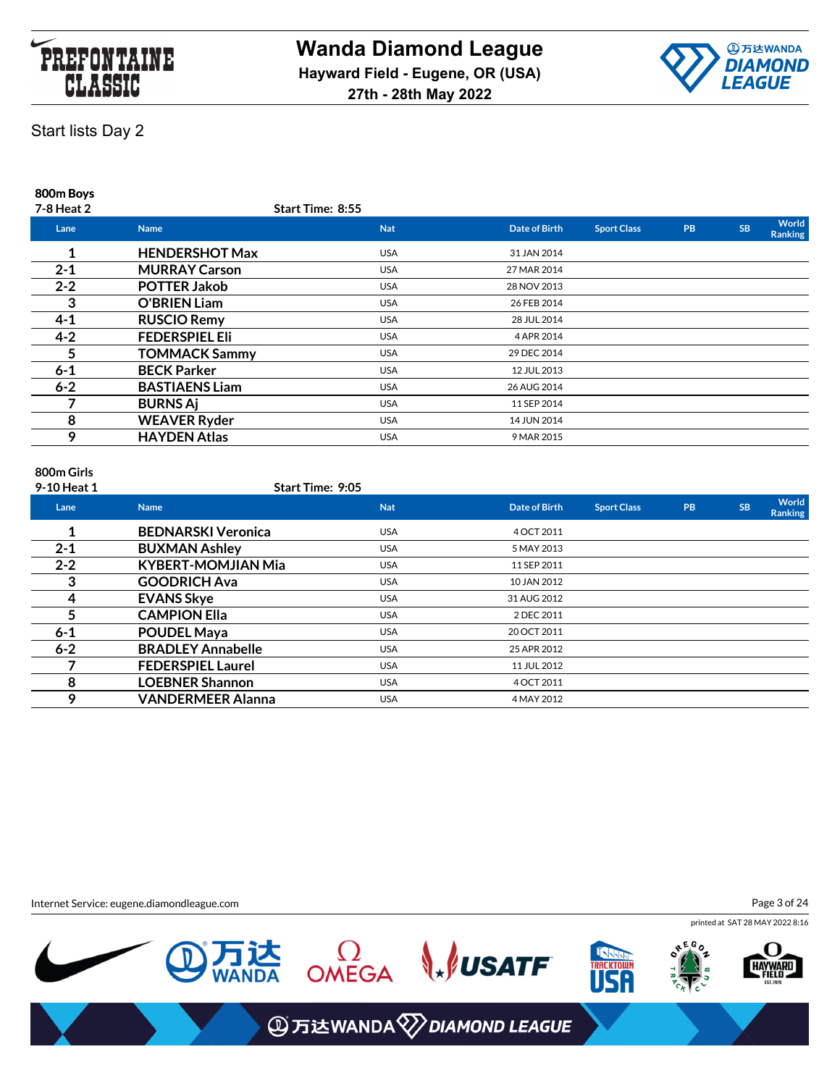



**800m Boys**

| 7-8 Heat 2 |                       | <b>Start Time: 8:55</b> |               |                    |           |           |                         |
|------------|-----------------------|-------------------------|---------------|--------------------|-----------|-----------|-------------------------|
| Lane       | <b>Name</b>           | <b>Nat</b>              | Date of Birth | <b>Sport Class</b> | <b>PB</b> | <b>SB</b> | World<br><b>Ranking</b> |
|            | <b>HENDERSHOT Max</b> | <b>USA</b>              | 31 JAN 2014   |                    |           |           |                         |
| $2 - 1$    | <b>MURRAY Carson</b>  | <b>USA</b>              | 27 MAR 2014   |                    |           |           |                         |
| $2 - 2$    | <b>POTTER Jakob</b>   | <b>USA</b>              | 28 NOV 2013   |                    |           |           |                         |
| 3          | <b>O'BRIEN Liam</b>   | <b>USA</b>              | 26 FEB 2014   |                    |           |           |                         |
| $4 - 1$    | <b>RUSCIO Remy</b>    | <b>USA</b>              | 28 JUL 2014   |                    |           |           |                         |
| $4 - 2$    | <b>FEDERSPIEL EII</b> | <b>USA</b>              | 4 APR 2014    |                    |           |           |                         |
| 5.         | <b>TOMMACK Sammy</b>  | <b>USA</b>              | 29 DEC 2014   |                    |           |           |                         |
| $6 - 1$    | <b>BECK Parker</b>    | <b>USA</b>              | 12 JUL 2013   |                    |           |           |                         |
| $6 - 2$    | <b>BASTIAENS Liam</b> | <b>USA</b>              | 26 AUG 2014   |                    |           |           |                         |
|            | <b>BURNS Aj</b>       | <b>USA</b>              | 11 SEP 2014   |                    |           |           |                         |
| 8          | <b>WEAVER Ryder</b>   | <b>USA</b>              | 14 JUN 2014   |                    |           |           |                         |
| 9          | <b>HAYDEN Atlas</b>   | <b>USA</b>              | 9 MAR 2015    |                    |           |           |                         |
|            |                       |                         |               |                    |           |           |                         |

# **800m Girls**

**9-10 Heat 1 Start Time: 9:05**

| Lane    | <b>Name</b>               | <b>Nat</b> | Date of Birth | <b>Sport Class</b> | PB | <b>SB</b> | World<br><b>Ranking</b> |
|---------|---------------------------|------------|---------------|--------------------|----|-----------|-------------------------|
|         | <b>BEDNARSKI Veronica</b> | <b>USA</b> | 4 OCT 2011    |                    |    |           |                         |
| $2 - 1$ | <b>BUXMAN Ashley</b>      | <b>USA</b> | 5 MAY 2013    |                    |    |           |                         |
| $2 - 2$ | <b>KYBERT-MOMJIAN Mia</b> | <b>USA</b> | 11 SEP 2011   |                    |    |           |                         |
| 3       | <b>GOODRICH Ava</b>       | <b>USA</b> | 10 JAN 2012   |                    |    |           |                         |
| 4       | <b>EVANS Skye</b>         | <b>USA</b> | 31 AUG 2012   |                    |    |           |                         |
| 5       | <b>CAMPION Ella</b>       | <b>USA</b> | 2 DEC 2011    |                    |    |           |                         |
| $6 - 1$ | <b>POUDEL Maya</b>        | <b>USA</b> | 20 OCT 2011   |                    |    |           |                         |
| $6 - 2$ | <b>BRADLEY Annabelle</b>  | <b>USA</b> | 25 APR 2012   |                    |    |           |                         |
|         | <b>FEDERSPIEL Laurel</b>  | <b>USA</b> | 11 JUL 2012   |                    |    |           |                         |
| 8       | <b>LOEBNER Shannon</b>    | <b>USA</b> | 4 OCT 2011    |                    |    |           |                         |
| О       | <b>VANDERMEER Alanna</b>  | <b>USA</b> | 4 MAY 2012    |                    |    |           |                         |

Internet Service: eugene.diamondleague.com

Page 3 of 24

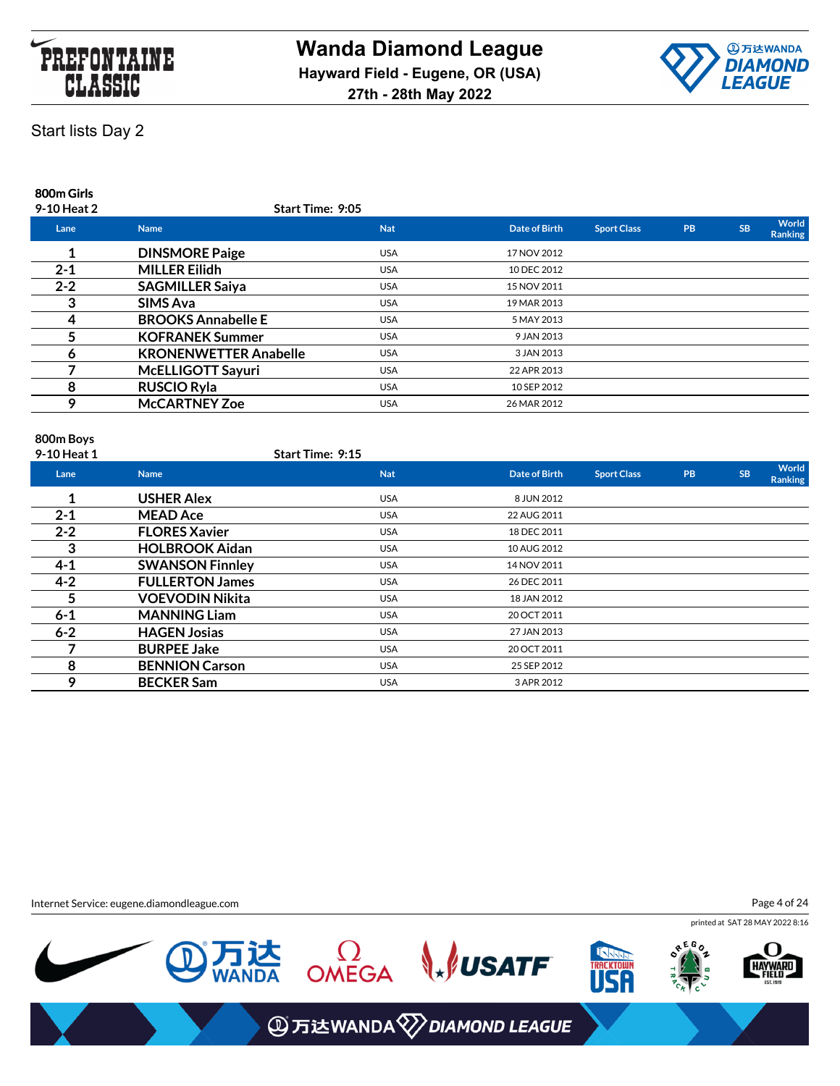



### **800m Girls**

| 9-10 Heat 2 | Start Time: 9:05             |            |               |                    |           |           |                         |
|-------------|------------------------------|------------|---------------|--------------------|-----------|-----------|-------------------------|
| Lane        | <b>Name</b>                  | <b>Nat</b> | Date of Birth | <b>Sport Class</b> | <b>PB</b> | <b>SB</b> | World<br><b>Ranking</b> |
|             | <b>DINSMORE Paige</b>        | <b>USA</b> | 17 NOV 2012   |                    |           |           |                         |
| $2 - 1$     | <b>MILLER Eilidh</b>         | <b>USA</b> | 10 DEC 2012   |                    |           |           |                         |
| $2 - 2$     | <b>SAGMILLER Saiya</b>       | <b>USA</b> | 15 NOV 2011   |                    |           |           |                         |
|             | <b>SIMS Ava</b>              | <b>USA</b> | 19 MAR 2013   |                    |           |           |                         |
|             | <b>BROOKS Annabelle E</b>    | <b>USA</b> | 5 MAY 2013    |                    |           |           |                         |
|             | <b>KOFRANEK Summer</b>       | <b>USA</b> | 9 JAN 2013    |                    |           |           |                         |
| n           | <b>KRONENWETTER Anabelle</b> | <b>USA</b> | 3 JAN 2013    |                    |           |           |                         |
|             | McELLIGOTT Sayuri            | <b>USA</b> | 22 APR 2013   |                    |           |           |                         |
| 8           | <b>RUSCIO Ryla</b>           | <b>USA</b> | 10 SEP 2012   |                    |           |           |                         |
| 9           | <b>McCARTNEY Zoe</b>         | <b>USA</b> | 26 MAR 2012   |                    |           |           |                         |
|             |                              |            |               |                    |           |           |                         |

### **800m Boys**

| 9-10 Heat 1 |                        | Start Time: 9:15 |            |               |                    |    |           |                  |
|-------------|------------------------|------------------|------------|---------------|--------------------|----|-----------|------------------|
| Lane        | <b>Name</b>            |                  | <b>Nat</b> | Date of Birth | <b>Sport Class</b> | PB | <b>SB</b> | World<br>Ranking |
| 1           | <b>USHER Alex</b>      |                  | <b>USA</b> | 8 JUN 2012    |                    |    |           |                  |
| $2 - 1$     | <b>MEAD Ace</b>        |                  | <b>USA</b> | 22 AUG 2011   |                    |    |           |                  |
| $2 - 2$     | <b>FLORES Xavier</b>   |                  | <b>USA</b> | 18 DEC 2011   |                    |    |           |                  |
| 3           | <b>HOLBROOK Aidan</b>  |                  | <b>USA</b> | 10 AUG 2012   |                    |    |           |                  |
| $4 - 1$     | <b>SWANSON Finnley</b> |                  | <b>USA</b> | 14 NOV 2011   |                    |    |           |                  |
| $4 - 2$     | <b>FULLERTON James</b> |                  | <b>USA</b> | 26 DEC 2011   |                    |    |           |                  |
| 5           | <b>VOEVODIN Nikita</b> |                  | <b>USA</b> | 18 JAN 2012   |                    |    |           |                  |
| $6 - 1$     | <b>MANNING Liam</b>    |                  | <b>USA</b> | 20 OCT 2011   |                    |    |           |                  |
| $6 - 2$     | <b>HAGEN Josias</b>    |                  | <b>USA</b> | 27 JAN 2013   |                    |    |           |                  |
|             | <b>BURPEE Jake</b>     |                  | <b>USA</b> | 20 OCT 2011   |                    |    |           |                  |
| 8           | <b>BENNION Carson</b>  |                  | <b>USA</b> | 25 SEP 2012   |                    |    |           |                  |
| 9           | <b>BECKER Sam</b>      |                  | <b>USA</b> | 3 APR 2012    |                    |    |           |                  |

Internet Service: eugene.diamondleague.com

Page 4 of 24

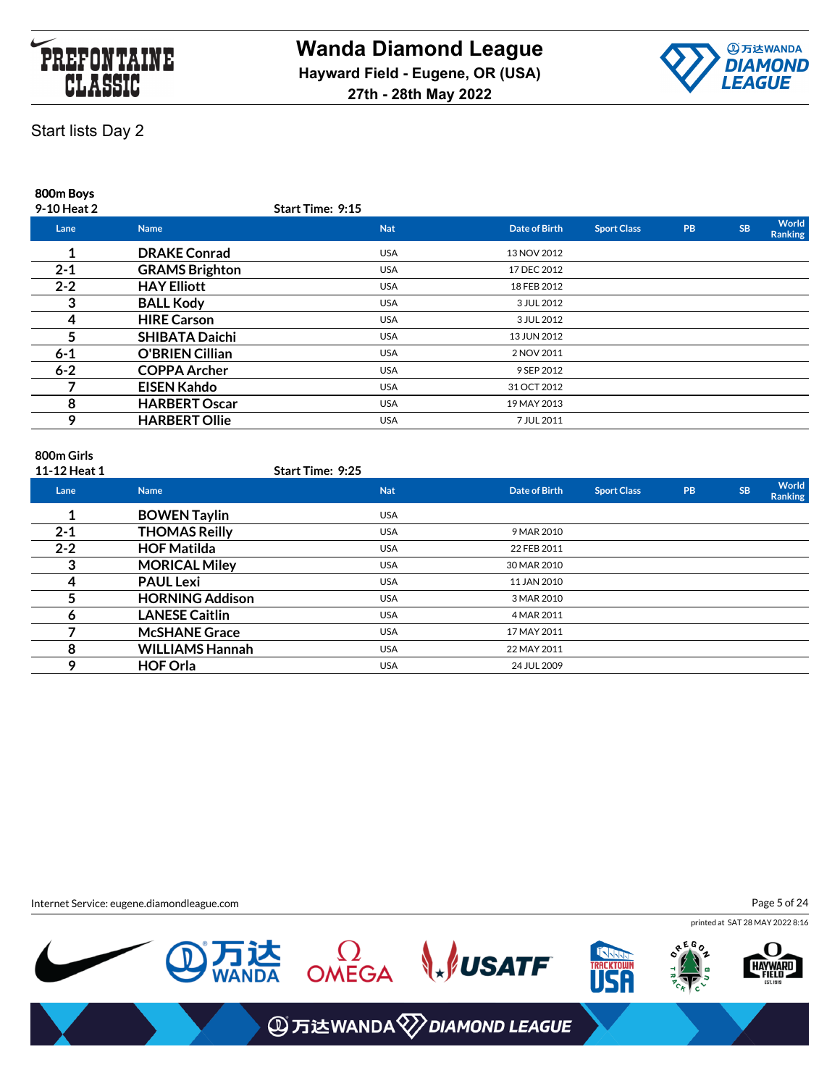



**800m Boys**

| 9-10 Heat 2 |                        | <b>Start Time: 9:15</b> |               |                    |           |           |                         |
|-------------|------------------------|-------------------------|---------------|--------------------|-----------|-----------|-------------------------|
| Lane        | <b>Name</b>            | <b>Nat</b>              | Date of Birth | <b>Sport Class</b> | <b>PB</b> | <b>SB</b> | World<br><b>Ranking</b> |
|             | <b>DRAKE Conrad</b>    | <b>USA</b>              | 13 NOV 2012   |                    |           |           |                         |
| $2 - 1$     | <b>GRAMS Brighton</b>  | <b>USA</b>              | 17 DEC 2012   |                    |           |           |                         |
| $2 - 2$     | <b>HAY Elliott</b>     | <b>USA</b>              | 18 FEB 2012   |                    |           |           |                         |
| 3           | <b>BALL Kody</b>       | <b>USA</b>              | 3 JUL 2012    |                    |           |           |                         |
| 4           | <b>HIRE Carson</b>     | <b>USA</b>              | 3 JUL 2012    |                    |           |           |                         |
|             | <b>SHIBATA Daichi</b>  | <b>USA</b>              | 13 JUN 2012   |                    |           |           |                         |
| $6 - 1$     | <b>O'BRIEN Cillian</b> | <b>USA</b>              | 2 NOV 2011    |                    |           |           |                         |
| $6 - 2$     | <b>COPPA Archer</b>    | <b>USA</b>              | 9 SEP 2012    |                    |           |           |                         |
|             | <b>EISEN Kahdo</b>     | <b>USA</b>              | 31 OCT 2012   |                    |           |           |                         |
| 8           | <b>HARBERT Oscar</b>   | <b>USA</b>              | 19 MAY 2013   |                    |           |           |                         |
| 9           | <b>HARBERT Ollie</b>   | <b>USA</b>              | 7 JUL 2011    |                    |           |           |                         |
|             |                        |                         |               |                    |           |           |                         |

# **800m Girls**

| 11-12 Heat 1 |                        | <b>Start Time: 9:25</b> |               |                    |           |           |                  |
|--------------|------------------------|-------------------------|---------------|--------------------|-----------|-----------|------------------|
| Lane         | <b>Name</b>            | <b>Nat</b>              | Date of Birth | <b>Sport Class</b> | <b>PB</b> | <b>SB</b> | World<br>Ranking |
|              | <b>BOWEN Taylin</b>    | <b>USA</b>              |               |                    |           |           |                  |
| $2 - 1$      | THOMAS Reilly          | <b>USA</b>              | 9 MAR 2010    |                    |           |           |                  |
| $2 - 2$      | <b>HOF Matilda</b>     | <b>USA</b>              | 22 FEB 2011   |                    |           |           |                  |
| 3            | <b>MORICAL Miley</b>   | <b>USA</b>              | 30 MAR 2010   |                    |           |           |                  |
| 4            | <b>PAUL Lexi</b>       | <b>USA</b>              | 11 JAN 2010   |                    |           |           |                  |
|              | <b>HORNING Addison</b> | <b>USA</b>              | 3 MAR 2010    |                    |           |           |                  |
| <sub>6</sub> | <b>LANESE Caitlin</b>  | <b>USA</b>              | 4 MAR 2011    |                    |           |           |                  |
|              | <b>McSHANE Grace</b>   | <b>USA</b>              | 17 MAY 2011   |                    |           |           |                  |
| 8            | <b>WILLIAMS Hannah</b> | <b>USA</b>              | 22 MAY 2011   |                    |           |           |                  |
| 9            | <b>HOF Orla</b>        | <b>USA</b>              | 24 JUL 2009   |                    |           |           |                  |

Internet Service: eugene.diamondleague.com

Page 5 of 24



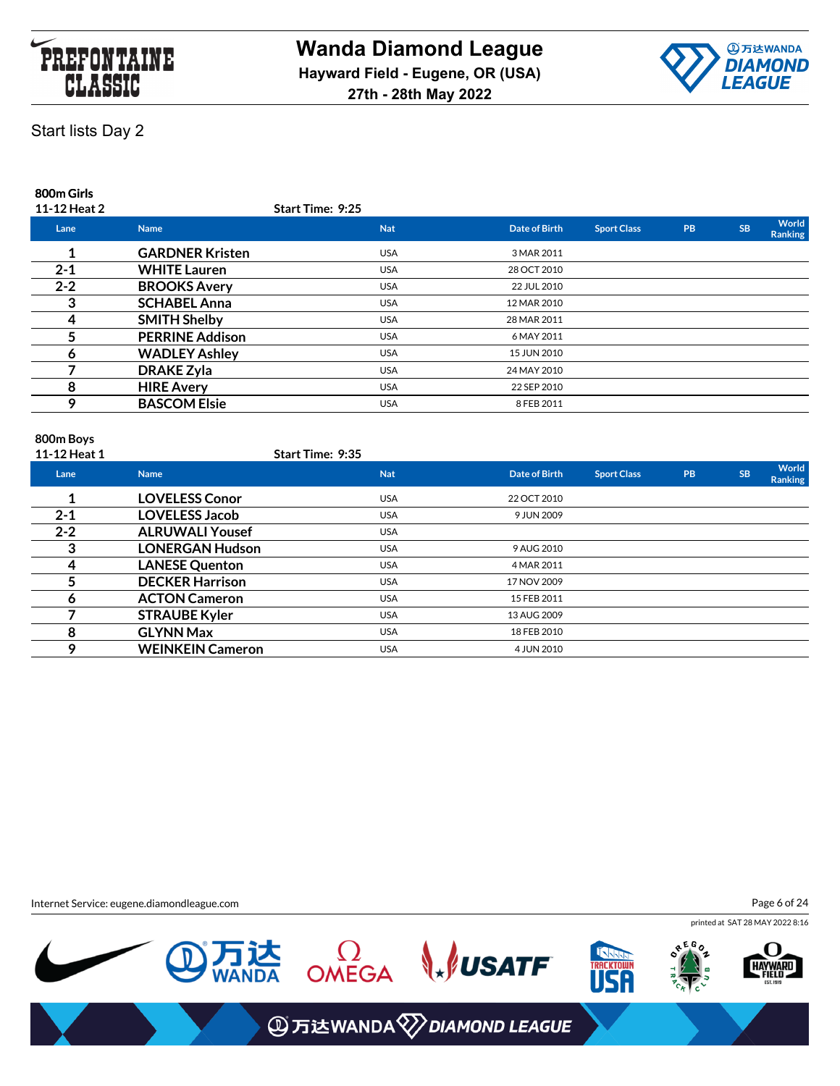



### **800m Girls**

| 11-12 Heat 2 |                        | <b>Start Time: 9:25</b> |                      |                    |           |           |                         |
|--------------|------------------------|-------------------------|----------------------|--------------------|-----------|-----------|-------------------------|
| Lane         | <b>Name</b>            | <b>Nat</b>              | <b>Date of Birth</b> | <b>Sport Class</b> | <b>PB</b> | <b>SB</b> | World<br><b>Ranking</b> |
|              | <b>GARDNER Kristen</b> | <b>USA</b>              | 3 MAR 2011           |                    |           |           |                         |
| $2 - 1$      | <b>WHITE Lauren</b>    | <b>USA</b>              | 28 OCT 2010          |                    |           |           |                         |
| $2 - 2$      | <b>BROOKS Avery</b>    | <b>USA</b>              | 22 JUL 2010          |                    |           |           |                         |
|              | <b>SCHABEL Anna</b>    | <b>USA</b>              | 12 MAR 2010          |                    |           |           |                         |
|              | <b>SMITH Shelby</b>    | <b>USA</b>              | 28 MAR 2011          |                    |           |           |                         |
|              | <b>PERRINE Addison</b> | <b>USA</b>              | 6 MAY 2011           |                    |           |           |                         |
|              | <b>WADLEY Ashley</b>   | <b>USA</b>              | 15 JUN 2010          |                    |           |           |                         |
|              | <b>DRAKE Zyla</b>      | <b>USA</b>              | 24 MAY 2010          |                    |           |           |                         |
| 8            | <b>HIRE Avery</b>      | <b>USA</b>              | 22 SEP 2010          |                    |           |           |                         |
|              | <b>BASCOM Elsie</b>    | <b>USA</b>              | 8 FEB 2011           |                    |           |           |                         |
|              |                        |                         |                      |                    |           |           |                         |

### **800m Boys**

| 11-12 Heat 1 |                         | <b>Start Time: 9:35</b> |               |                    |           |           |                  |
|--------------|-------------------------|-------------------------|---------------|--------------------|-----------|-----------|------------------|
| Lane         | <b>Name</b>             | <b>Nat</b>              | Date of Birth | <b>Sport Class</b> | <b>PB</b> | <b>SB</b> | World<br>Ranking |
|              | <b>LOVELESS Conor</b>   | <b>USA</b>              | 22 OCT 2010   |                    |           |           |                  |
| $2 - 1$      | <b>LOVELESS Jacob</b>   | <b>USA</b>              | 9 JUN 2009    |                    |           |           |                  |
| $2 - 2$      | <b>ALRUWALI Yousef</b>  | <b>USA</b>              |               |                    |           |           |                  |
| 3            | <b>LONERGAN Hudson</b>  | <b>USA</b>              | 9 AUG 2010    |                    |           |           |                  |
| 4            | <b>LANESE Quenton</b>   | <b>USA</b>              | 4 MAR 2011    |                    |           |           |                  |
|              | <b>DECKER Harrison</b>  | <b>USA</b>              | 17 NOV 2009   |                    |           |           |                  |
| Ô            | <b>ACTON Cameron</b>    | <b>USA</b>              | 15 FEB 2011   |                    |           |           |                  |
|              | <b>STRAUBE Kyler</b>    | <b>USA</b>              | 13 AUG 2009   |                    |           |           |                  |
| 8            | <b>GLYNN Max</b>        | <b>USA</b>              | 18 FEB 2010   |                    |           |           |                  |
| 9            | <b>WEINKEIN Cameron</b> | <b>USA</b>              | 4 JUN 2010    |                    |           |           |                  |

Internet Service: eugene.diamondleague.com

Page 6 of 24

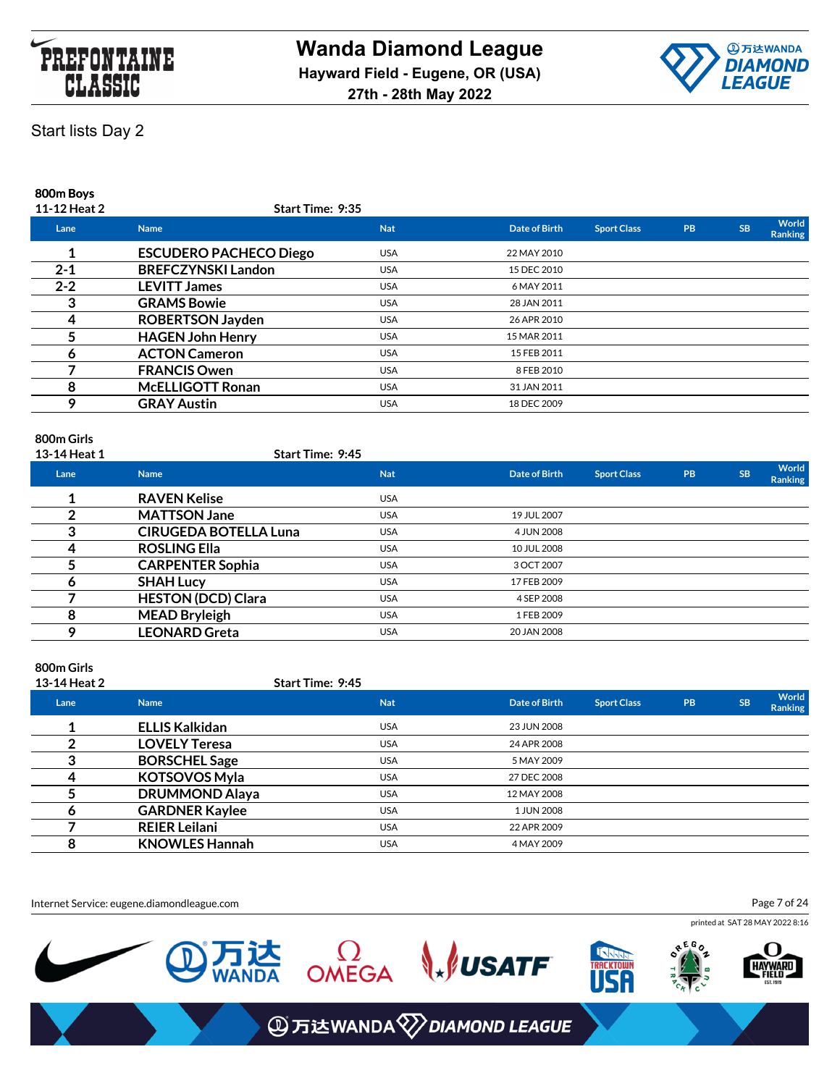



### **800m Boys**

| 11-12 Heat 2 | <b>Start Time: 9:35</b>       |            |               |                    |           |           |                         |
|--------------|-------------------------------|------------|---------------|--------------------|-----------|-----------|-------------------------|
| Lane         | <b>Name</b>                   | <b>Nat</b> | Date of Birth | <b>Sport Class</b> | <b>PB</b> | <b>SB</b> | World<br><b>Ranking</b> |
|              | <b>ESCUDERO PACHECO Diego</b> | <b>USA</b> | 22 MAY 2010   |                    |           |           |                         |
| $2 - 1$      | <b>BREFCZYNSKI Landon</b>     | <b>USA</b> | 15 DEC 2010   |                    |           |           |                         |
| $2 - 2$      | <b>LEVITT James</b>           | <b>USA</b> | 6 MAY 2011    |                    |           |           |                         |
|              | <b>GRAMS Bowie</b>            | <b>USA</b> | 28 JAN 2011   |                    |           |           |                         |
|              | <b>ROBERTSON Jayden</b>       | <b>USA</b> | 26 APR 2010   |                    |           |           |                         |
|              | <b>HAGEN John Henry</b>       | <b>USA</b> | 15 MAR 2011   |                    |           |           |                         |
|              | <b>ACTON Cameron</b>          | <b>USA</b> | 15 FEB 2011   |                    |           |           |                         |
|              | <b>FRANCIS Owen</b>           | <b>USA</b> | 8 FEB 2010    |                    |           |           |                         |
| 8            | <b>McELLIGOTT Ronan</b>       | <b>USA</b> | 31 JAN 2011   |                    |           |           |                         |
| C            | <b>GRAY Austin</b>            | <b>USA</b> | 18 DEC 2009   |                    |           |           |                         |
|              |                               |            |               |                    |           |           |                         |

### **800m Girls**

| 13-14 Heat 1 | <b>Start Time: 9:45</b>      |            |               |                    |           |           |                  |
|--------------|------------------------------|------------|---------------|--------------------|-----------|-----------|------------------|
| Lane         | <b>Name</b>                  | <b>Nat</b> | Date of Birth | <b>Sport Class</b> | <b>PB</b> | <b>SB</b> | World<br>Ranking |
|              | <b>RAVEN Kelise</b>          | <b>USA</b> |               |                    |           |           |                  |
|              | <b>MATTSON Jane</b>          | <b>USA</b> | 19 JUL 2007   |                    |           |           |                  |
| 3            | <b>CIRUGEDA BOTELLA Luna</b> | <b>USA</b> | 4 JUN 2008    |                    |           |           |                  |
|              | <b>ROSLING Ella</b>          | <b>USA</b> | 10 JUL 2008   |                    |           |           |                  |
|              | <b>CARPENTER Sophia</b>      | <b>USA</b> | 3 OCT 2007    |                    |           |           |                  |
| O            | <b>SHAH Lucy</b>             | <b>USA</b> | 17 FEB 2009   |                    |           |           |                  |
|              | <b>HESTON (DCD) Clara</b>    | <b>USA</b> | 4 SEP 2008    |                    |           |           |                  |
| 8            | <b>MEAD Bryleigh</b>         | <b>USA</b> | 1 FEB 2009    |                    |           |           |                  |
|              | <b>LEONARD Greta</b>         | <b>USA</b> | 20 JAN 2008   |                    |           |           |                  |

### **800m Girls**

| 13-14 Heat 2 |                       | Start Time: 9:45 |               |                    |           |           |                         |
|--------------|-----------------------|------------------|---------------|--------------------|-----------|-----------|-------------------------|
| Lane         | <b>Name</b>           | <b>Nat</b>       | Date of Birth | <b>Sport Class</b> | <b>PB</b> | <b>SB</b> | World<br><b>Ranking</b> |
|              | <b>ELLIS Kalkidan</b> | <b>USA</b>       | 23 JUN 2008   |                    |           |           |                         |
|              | <b>LOVELY Teresa</b>  | <b>USA</b>       | 24 APR 2008   |                    |           |           |                         |
| ິ            | <b>BORSCHEL Sage</b>  | <b>USA</b>       | 5 MAY 2009    |                    |           |           |                         |
|              | <b>KOTSOVOS Myla</b>  | <b>USA</b>       | 27 DEC 2008   |                    |           |           |                         |
|              | <b>DRUMMOND Alaya</b> | <b>USA</b>       | 12 MAY 2008   |                    |           |           |                         |
| О            | <b>GARDNER Kaylee</b> | <b>USA</b>       | 1 JUN 2008    |                    |           |           |                         |
|              | <b>REIER Leilani</b>  | <b>USA</b>       | 22 APR 2009   |                    |           |           |                         |
| 8            | <b>KNOWLES Hannah</b> | <b>USA</b>       | 4 MAY 2009    |                    |           |           |                         |

Internet Service: eugene.diamondleague.com

Page 7 of 24

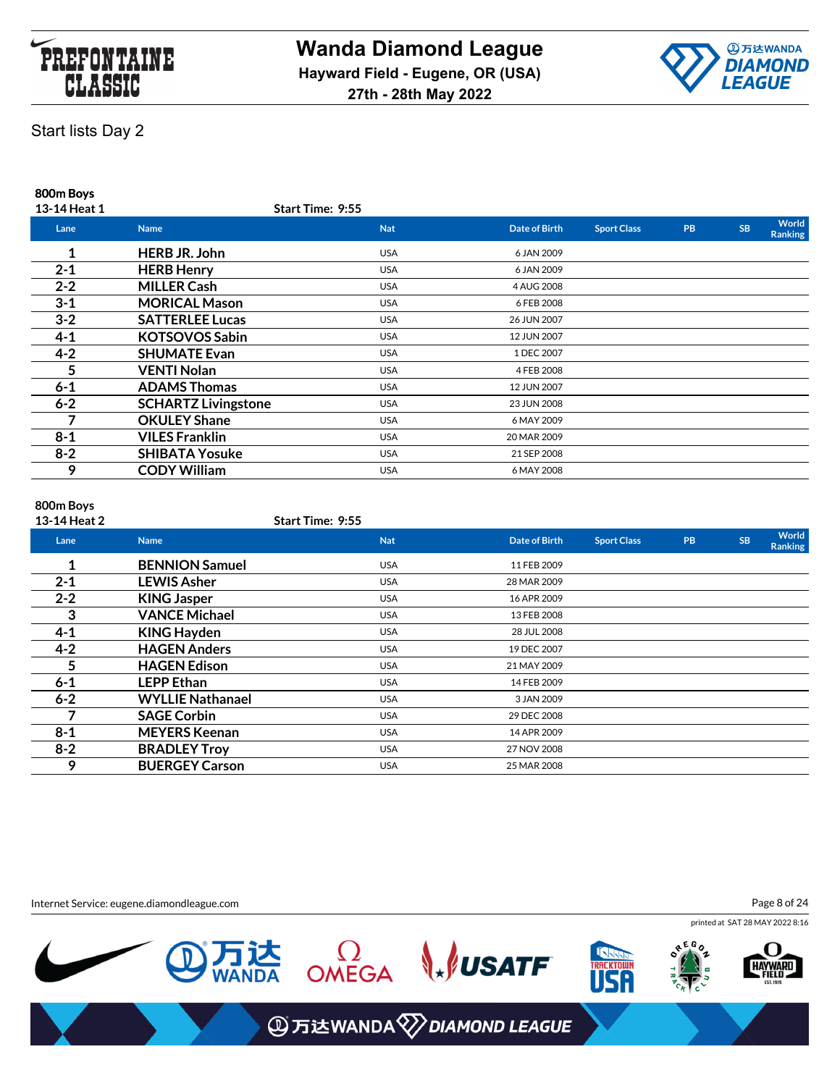



**800m Boys**

| 13-14 Heat 1 |                            | <b>Start Time: 9:55</b> |               |                    |           |           |                         |
|--------------|----------------------------|-------------------------|---------------|--------------------|-----------|-----------|-------------------------|
| Lane         | <b>Name</b>                | <b>Nat</b>              | Date of Birth | <b>Sport Class</b> | <b>PB</b> | <b>SB</b> | World<br><b>Ranking</b> |
| 1            | <b>HERB JR. John</b>       | <b>USA</b>              | 6 JAN 2009    |                    |           |           |                         |
| $2 - 1$      | <b>HERB Henry</b>          | <b>USA</b>              | 6 JAN 2009    |                    |           |           |                         |
| $2 - 2$      | <b>MILLER Cash</b>         | <b>USA</b>              | 4 AUG 2008    |                    |           |           |                         |
| $3 - 1$      | <b>MORICAL Mason</b>       | <b>USA</b>              | 6 FEB 2008    |                    |           |           |                         |
| $3 - 2$      | <b>SATTERLEE Lucas</b>     | <b>USA</b>              | 26 JUN 2007   |                    |           |           |                         |
| $4 - 1$      | <b>KOTSOVOS Sabin</b>      | <b>USA</b>              | 12 JUN 2007   |                    |           |           |                         |
| $4 - 2$      | <b>SHUMATE Evan</b>        | <b>USA</b>              | 1 DEC 2007    |                    |           |           |                         |
| 5.           | <b>VENTI Nolan</b>         | <b>USA</b>              | 4 FEB 2008    |                    |           |           |                         |
| $6 - 1$      | <b>ADAMS Thomas</b>        | <b>USA</b>              | 12 JUN 2007   |                    |           |           |                         |
| $6 - 2$      | <b>SCHARTZ Livingstone</b> | <b>USA</b>              | 23 JUN 2008   |                    |           |           |                         |
| 7            | <b>OKULEY Shane</b>        | <b>USA</b>              | 6 MAY 2009    |                    |           |           |                         |
| $8 - 1$      | <b>VILES Franklin</b>      | <b>USA</b>              | 20 MAR 2009   |                    |           |           |                         |
| $8 - 2$      | <b>SHIBATA Yosuke</b>      | <b>USA</b>              | 21 SEP 2008   |                    |           |           |                         |
| 9            | <b>CODY William</b>        | <b>USA</b>              | 6 MAY 2008    |                    |           |           |                         |

#### **800m Boys**

| 13-14 Heat 2 |                         | Start Time: 9:55 |               |                    |           |           |                         |
|--------------|-------------------------|------------------|---------------|--------------------|-----------|-----------|-------------------------|
| Lane         | <b>Name</b>             | <b>Nat</b>       | Date of Birth | <b>Sport Class</b> | <b>PB</b> | <b>SB</b> | World<br><b>Ranking</b> |
|              | <b>BENNION Samuel</b>   | <b>USA</b>       | 11 FEB 2009   |                    |           |           |                         |
| $2 - 1$      | <b>LEWIS Asher</b>      | <b>USA</b>       | 28 MAR 2009   |                    |           |           |                         |
| $2 - 2$      | <b>KING Jasper</b>      | <b>USA</b>       | 16 APR 2009   |                    |           |           |                         |
| 3            | <b>VANCE Michael</b>    | <b>USA</b>       | 13 FEB 2008   |                    |           |           |                         |
| $4 - 1$      | <b>KING Hayden</b>      | <b>USA</b>       | 28 JUL 2008   |                    |           |           |                         |
| $4 - 2$      | <b>HAGEN Anders</b>     | <b>USA</b>       | 19 DEC 2007   |                    |           |           |                         |
| 5            | <b>HAGEN Edison</b>     | <b>USA</b>       | 21 MAY 2009   |                    |           |           |                         |
| $6 - 1$      | <b>LEPP Ethan</b>       | <b>USA</b>       | 14 FEB 2009   |                    |           |           |                         |
| $6 - 2$      | <b>WYLLIE Nathanael</b> | <b>USA</b>       | 3 JAN 2009    |                    |           |           |                         |
|              | <b>SAGE Corbin</b>      | <b>USA</b>       | 29 DEC 2008   |                    |           |           |                         |
| $8 - 1$      | <b>MEYERS Keenan</b>    | <b>USA</b>       | 14 APR 2009   |                    |           |           |                         |
| $8 - 2$      | <b>BRADLEY Troy</b>     | <b>USA</b>       | 27 NOV 2008   |                    |           |           |                         |
| 9            | <b>BUERGEY Carson</b>   | <b>USA</b>       | 25 MAR 2008   |                    |           |           |                         |

Internet Service: eugene.diamondleague.com

Page 8 of 24

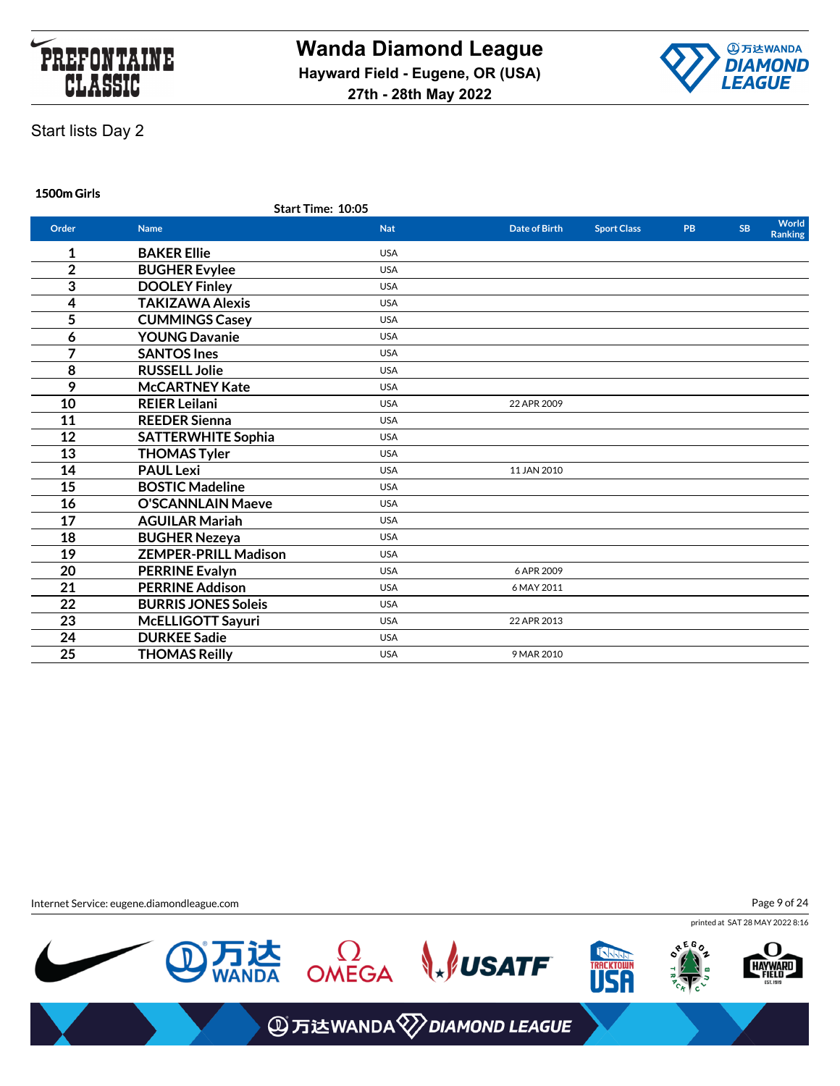



**1500m Girls**

|                | <b>Start Time: 10:05</b>    |            |                      |                    |           |           |                         |
|----------------|-----------------------------|------------|----------------------|--------------------|-----------|-----------|-------------------------|
| Order          | <b>Name</b>                 | <b>Nat</b> | <b>Date of Birth</b> | <b>Sport Class</b> | <b>PB</b> | <b>SB</b> | World<br><b>Ranking</b> |
| 1              | <b>BAKER Ellie</b>          | <b>USA</b> |                      |                    |           |           |                         |
| $\overline{2}$ | <b>BUGHER Evylee</b>        | <b>USA</b> |                      |                    |           |           |                         |
| 3              | <b>DOOLEY Finley</b>        | <b>USA</b> |                      |                    |           |           |                         |
| 4              | <b>TAKIZAWA Alexis</b>      | <b>USA</b> |                      |                    |           |           |                         |
| 5              | <b>CUMMINGS Casey</b>       | <b>USA</b> |                      |                    |           |           |                         |
| 6              | <b>YOUNG Davanie</b>        | <b>USA</b> |                      |                    |           |           |                         |
| 7              | <b>SANTOS Ines</b>          | <b>USA</b> |                      |                    |           |           |                         |
| 8              | <b>RUSSELL Jolie</b>        | <b>USA</b> |                      |                    |           |           |                         |
| 9              | <b>McCARTNEY Kate</b>       | <b>USA</b> |                      |                    |           |           |                         |
| 10             | <b>REIER Leilani</b>        | <b>USA</b> | 22 APR 2009          |                    |           |           |                         |
| 11             | <b>REEDER Sienna</b>        | <b>USA</b> |                      |                    |           |           |                         |
| 12             | <b>SATTERWHITE Sophia</b>   | <b>USA</b> |                      |                    |           |           |                         |
| 13             | <b>THOMAS Tyler</b>         | <b>USA</b> |                      |                    |           |           |                         |
| 14             | <b>PAUL Lexi</b>            | <b>USA</b> | 11 JAN 2010          |                    |           |           |                         |
| 15             | <b>BOSTIC Madeline</b>      | <b>USA</b> |                      |                    |           |           |                         |
| 16             | <b>O'SCANNLAIN Maeve</b>    | <b>USA</b> |                      |                    |           |           |                         |
| 17             | <b>AGUILAR Mariah</b>       | <b>USA</b> |                      |                    |           |           |                         |
| 18             | <b>BUGHER Nezeya</b>        | <b>USA</b> |                      |                    |           |           |                         |
| 19             | <b>ZEMPER-PRILL Madison</b> | <b>USA</b> |                      |                    |           |           |                         |
| 20             | <b>PERRINE Evalyn</b>       | <b>USA</b> | 6 APR 2009           |                    |           |           |                         |
| 21             | <b>PERRINE Addison</b>      | <b>USA</b> | 6 MAY 2011           |                    |           |           |                         |
| 22             | <b>BURRIS JONES Soleis</b>  | <b>USA</b> |                      |                    |           |           |                         |
| 23             | McELLIGOTT Sayuri           | <b>USA</b> | 22 APR 2013          |                    |           |           |                         |
| 24             | <b>DURKEE Sadie</b>         | <b>USA</b> |                      |                    |           |           |                         |
| 25             | <b>THOMAS Reilly</b>        | <b>USA</b> | 9 MAR 2010           |                    |           |           |                         |
|                |                             |            |                      |                    |           |           |                         |

Internet Service: eugene.diamondleague.com

Page 9 of 24

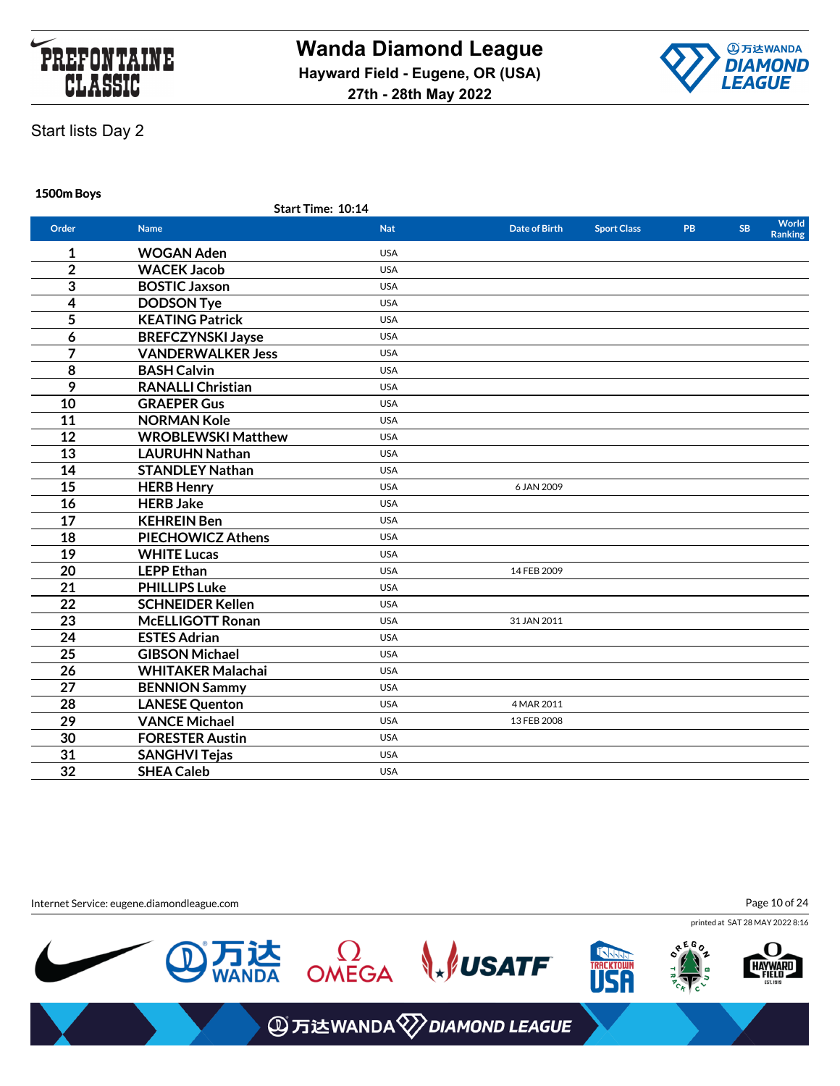



**1500m Boys**

|                 | Start Time: 10:14         |            |                      |                    |           |           |                         |
|-----------------|---------------------------|------------|----------------------|--------------------|-----------|-----------|-------------------------|
| Order           | <b>Name</b>               | <b>Nat</b> | <b>Date of Birth</b> | <b>Sport Class</b> | <b>PB</b> | <b>SB</b> | World<br><b>Ranking</b> |
| 1               | <b>WOGAN Aden</b>         | <b>USA</b> |                      |                    |           |           |                         |
| $\overline{2}$  | <b>WACEK Jacob</b>        | <b>USA</b> |                      |                    |           |           |                         |
| 3               | <b>BOSTIC Jaxson</b>      | <b>USA</b> |                      |                    |           |           |                         |
| 4               | <b>DODSON Tye</b>         | <b>USA</b> |                      |                    |           |           |                         |
| 5               | <b>KEATING Patrick</b>    | <b>USA</b> |                      |                    |           |           |                         |
| 6               | <b>BREFCZYNSKI Jayse</b>  | <b>USA</b> |                      |                    |           |           |                         |
| $\overline{7}$  | <b>VANDERWALKER Jess</b>  | <b>USA</b> |                      |                    |           |           |                         |
| 8               | <b>BASH Calvin</b>        | <b>USA</b> |                      |                    |           |           |                         |
| 9               | <b>RANALLI Christian</b>  | <b>USA</b> |                      |                    |           |           |                         |
| 10              | <b>GRAEPER Gus</b>        | <b>USA</b> |                      |                    |           |           |                         |
| 11              | <b>NORMAN Kole</b>        | <b>USA</b> |                      |                    |           |           |                         |
| 12              | <b>WROBLEWSKI Matthew</b> | <b>USA</b> |                      |                    |           |           |                         |
| 13              | <b>LAURUHN Nathan</b>     | <b>USA</b> |                      |                    |           |           |                         |
| 14              | <b>STANDLEY Nathan</b>    | <b>USA</b> |                      |                    |           |           |                         |
| 15              | <b>HERB Henry</b>         | <b>USA</b> | 6 JAN 2009           |                    |           |           |                         |
| 16              | <b>HERB Jake</b>          | <b>USA</b> |                      |                    |           |           |                         |
| $\overline{17}$ | <b>KEHREIN Ben</b>        | <b>USA</b> |                      |                    |           |           |                         |
| 18              | <b>PIECHOWICZ Athens</b>  | <b>USA</b> |                      |                    |           |           |                         |
| 19              | <b>WHITE Lucas</b>        | <b>USA</b> |                      |                    |           |           |                         |
| 20              | <b>LEPP Ethan</b>         | <b>USA</b> | 14 FEB 2009          |                    |           |           |                         |
| 21              | <b>PHILLIPS Luke</b>      | <b>USA</b> |                      |                    |           |           |                         |
| 22              | <b>SCHNEIDER Kellen</b>   | <b>USA</b> |                      |                    |           |           |                         |
| 23              | <b>McELLIGOTT Ronan</b>   | <b>USA</b> | 31 JAN 2011          |                    |           |           |                         |
| 24              | <b>ESTES Adrian</b>       | <b>USA</b> |                      |                    |           |           |                         |
| 25              | <b>GIBSON Michael</b>     | <b>USA</b> |                      |                    |           |           |                         |
| 26              | <b>WHITAKER Malachai</b>  | <b>USA</b> |                      |                    |           |           |                         |
| 27              | <b>BENNION Sammy</b>      | <b>USA</b> |                      |                    |           |           |                         |
| 28              | <b>LANESE Quenton</b>     | <b>USA</b> | 4 MAR 2011           |                    |           |           |                         |
| $\overline{29}$ | <b>VANCE Michael</b>      | <b>USA</b> | 13 FEB 2008          |                    |           |           |                         |
| 30              | <b>FORESTER Austin</b>    | <b>USA</b> |                      |                    |           |           |                         |
| 31              | <b>SANGHVI Tejas</b>      | <b>USA</b> |                      |                    |           |           |                         |
| 32              | <b>SHEA Caleb</b>         | <b>USA</b> |                      |                    |           |           |                         |
|                 |                           |            |                      |                    |           |           |                         |

Internet Service: eugene.diamondleague.com

Page 10 of 24

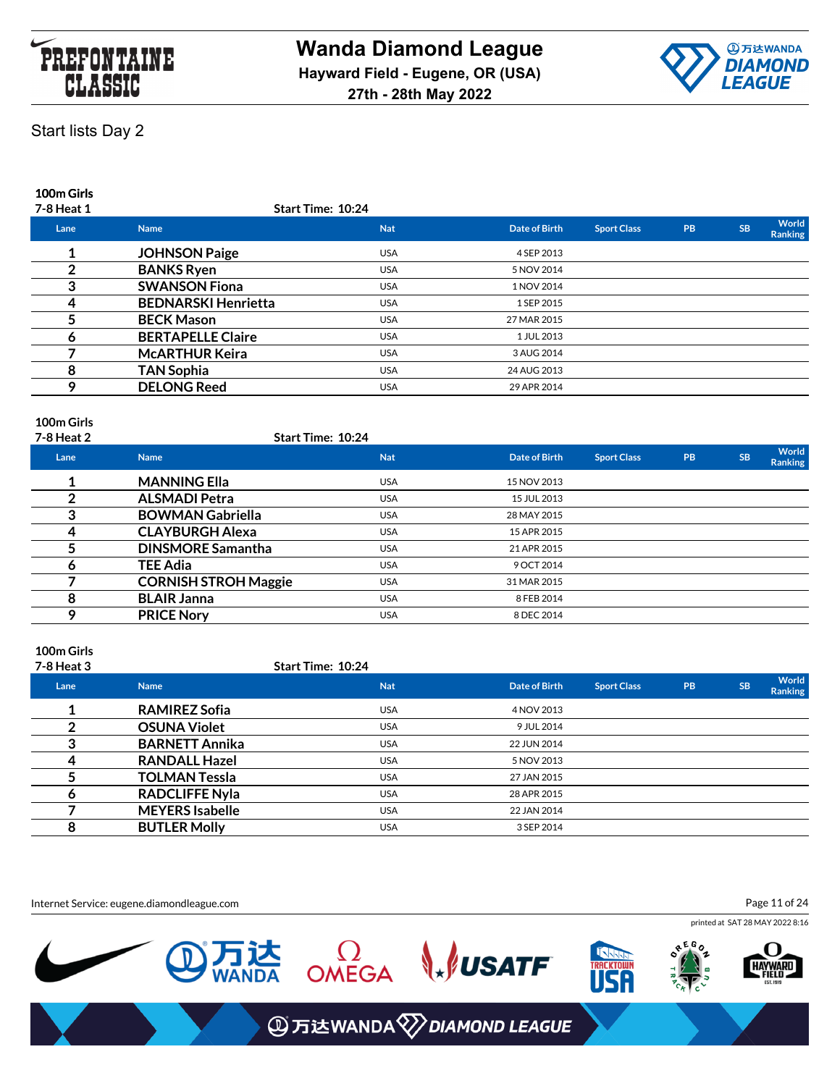



**100m Girls**

| 7-8 Heat 1 |                            | <b>Start Time: 10:24</b> |               |                    |           |           |                  |
|------------|----------------------------|--------------------------|---------------|--------------------|-----------|-----------|------------------|
| Lane       | <b>Name</b>                | <b>Nat</b>               | Date of Birth | <b>Sport Class</b> | <b>PB</b> | <b>SB</b> | World<br>Ranking |
|            | <b>JOHNSON Paige</b>       | <b>USA</b>               | 4 SEP 2013    |                    |           |           |                  |
|            | <b>BANKS Ryen</b>          | <b>USA</b>               | 5 NOV 2014    |                    |           |           |                  |
| 3          | <b>SWANSON Fiona</b>       | <b>USA</b>               | 1 NOV 2014    |                    |           |           |                  |
| 4          | <b>BEDNARSKI Henrietta</b> | <b>USA</b>               | 1 SEP 2015    |                    |           |           |                  |
|            | <b>BECK Mason</b>          | <b>USA</b>               | 27 MAR 2015   |                    |           |           |                  |
|            | <b>BERTAPELLE Claire</b>   | <b>USA</b>               | 1 JUL 2013    |                    |           |           |                  |
|            | <b>McARTHUR Keira</b>      | <b>USA</b>               | 3 AUG 2014    |                    |           |           |                  |
| 8          | TAN Sophia                 | <b>USA</b>               | 24 AUG 2013   |                    |           |           |                  |
| Q          | <b>DELONG Reed</b>         | <b>USA</b>               | 29 APR 2014   |                    |           |           |                  |
|            |                            |                          |               |                    |           |           |                  |

### **100m Girls**

| 7-8 Heat 2 | <b>Start Time: 10:24</b>    |            |               |                    |           |           |                                |
|------------|-----------------------------|------------|---------------|--------------------|-----------|-----------|--------------------------------|
| Lane       | <b>Name</b>                 | <b>Nat</b> | Date of Birth | <b>Sport Class</b> | <b>PB</b> | <b>SB</b> | <b>World</b><br><b>Ranking</b> |
|            | <b>MANNING Ella</b>         | <b>USA</b> | 15 NOV 2013   |                    |           |           |                                |
|            | <b>ALSMADI Petra</b>        | <b>USA</b> | 15 JUL 2013   |                    |           |           |                                |
| ≏          | <b>BOWMAN Gabriella</b>     | <b>USA</b> | 28 MAY 2015   |                    |           |           |                                |
| 4          | <b>CLAYBURGH Alexa</b>      | <b>USA</b> | 15 APR 2015   |                    |           |           |                                |
|            | <b>DINSMORE Samantha</b>    | <b>USA</b> | 21 APR 2015   |                    |           |           |                                |
|            | <b>TEE Adia</b>             | <b>USA</b> | 9 OCT 2014    |                    |           |           |                                |
|            | <b>CORNISH STROH Maggie</b> | <b>USA</b> | 31 MAR 2015   |                    |           |           |                                |
| 8          | <b>BLAIR Janna</b>          | <b>USA</b> | 8 FEB 2014    |                    |           |           |                                |
|            | <b>PRICE Nory</b>           | <b>USA</b> | 8 DEC 2014    |                    |           |           |                                |
|            |                             |            |               |                    |           |           |                                |

## **100m Girls**

| <b>7-8 Heat 3</b> |                        | <b>Start Time: 10:24</b> |                      |                    |    |           |                         |
|-------------------|------------------------|--------------------------|----------------------|--------------------|----|-----------|-------------------------|
| Lane              | <b>Name</b>            | <b>Nat</b>               | <b>Date of Birth</b> | <b>Sport Class</b> | PB | <b>SB</b> | World<br><b>Ranking</b> |
|                   | <b>RAMIREZ Sofia</b>   | <b>USA</b>               | 4 NOV 2013           |                    |    |           |                         |
|                   | <b>OSUNA Violet</b>    | <b>USA</b>               | 9 JUL 2014           |                    |    |           |                         |
|                   | <b>BARNETT Annika</b>  | <b>USA</b>               | 22 JUN 2014          |                    |    |           |                         |
|                   | <b>RANDALL Hazel</b>   | <b>USA</b>               | 5 NOV 2013           |                    |    |           |                         |
|                   | <b>TOLMAN Tessla</b>   | <b>USA</b>               | 27 JAN 2015          |                    |    |           |                         |
|                   | <b>RADCLIFFE Nyla</b>  | <b>USA</b>               | 28 APR 2015          |                    |    |           |                         |
|                   | <b>MEYERS Isabelle</b> | <b>USA</b>               | 22 JAN 2014          |                    |    |           |                         |
| 8                 | <b>BUTLER Molly</b>    | <b>USA</b>               | 3 SEP 2014           |                    |    |           |                         |

Internet Service: eugene.diamondleague.com

Page 11 of 24

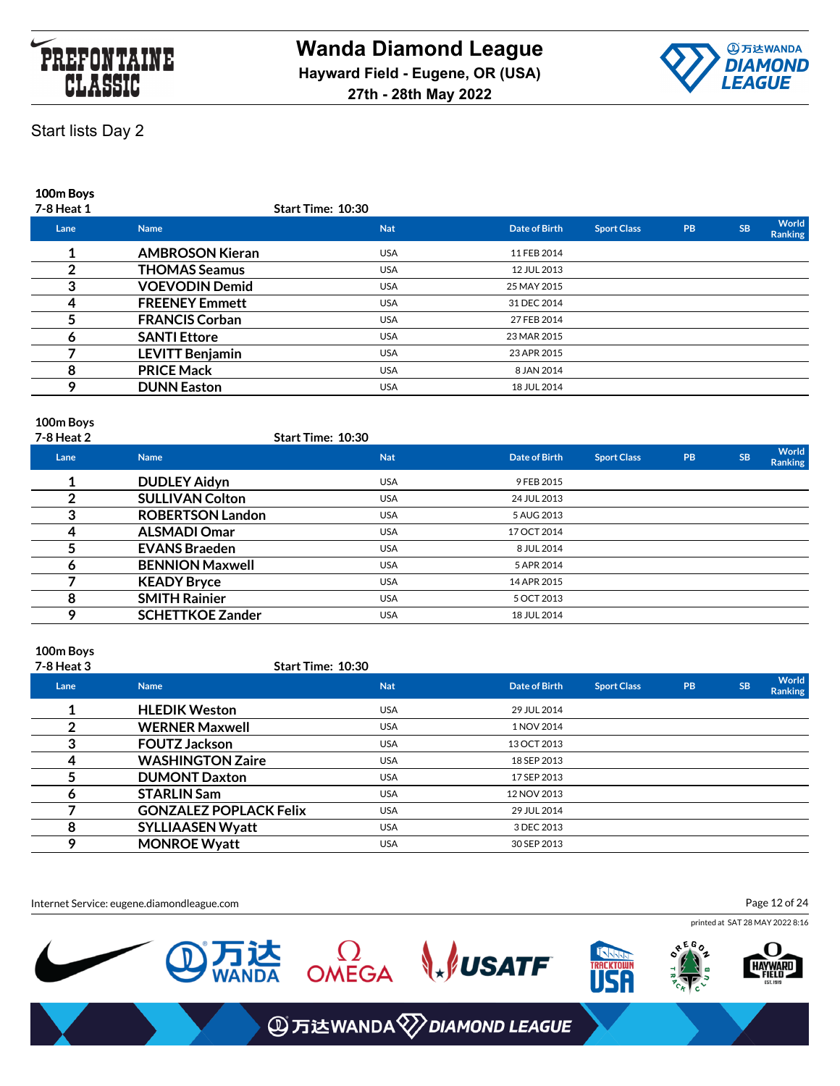



**100m Boys**

| 7-8 Heat 1 |                        | <b>Start Time: 10:30</b> |               |                    |           |           |                         |
|------------|------------------------|--------------------------|---------------|--------------------|-----------|-----------|-------------------------|
| Lane       | <b>Name</b>            | <b>Nat</b>               | Date of Birth | <b>Sport Class</b> | <b>PB</b> | <b>SB</b> | World<br><b>Ranking</b> |
|            | <b>AMBROSON Kieran</b> | <b>USA</b>               | 11 FEB 2014   |                    |           |           |                         |
|            | <b>THOMAS Seamus</b>   | <b>USA</b>               | 12 JUL 2013   |                    |           |           |                         |
|            | <b>VOEVODIN Demid</b>  | <b>USA</b>               | 25 MAY 2015   |                    |           |           |                         |
|            | <b>FREENEY Emmett</b>  | <b>USA</b>               | 31 DEC 2014   |                    |           |           |                         |
|            | <b>FRANCIS Corban</b>  | <b>USA</b>               | 27 FEB 2014   |                    |           |           |                         |
|            | <b>SANTI Ettore</b>    | <b>USA</b>               | 23 MAR 2015   |                    |           |           |                         |
|            | <b>LEVITT Benjamin</b> | <b>USA</b>               | 23 APR 2015   |                    |           |           |                         |
| 8          | <b>PRICE Mack</b>      | <b>USA</b>               | 8 JAN 2014    |                    |           |           |                         |
| o          | <b>DUNN Easton</b>     | <b>USA</b>               | 18 JUL 2014   |                    |           |           |                         |
|            |                        |                          |               |                    |           |           |                         |

### **100m Boys**

| 7-8 Heat 2 |                         | <b>Start Time: 10:30</b> |               |                    |           |           |                                |
|------------|-------------------------|--------------------------|---------------|--------------------|-----------|-----------|--------------------------------|
| Lane       | <b>Name</b>             | <b>Nat</b>               | Date of Birth | <b>Sport Class</b> | <b>PB</b> | <b>SB</b> | <b>World</b><br><b>Ranking</b> |
|            | <b>DUDLEY Aidyn</b>     | <b>USA</b>               | 9 FEB 2015    |                    |           |           |                                |
|            | <b>SULLIVAN Colton</b>  | <b>USA</b>               | 24 JUL 2013   |                    |           |           |                                |
|            | <b>ROBERTSON Landon</b> | <b>USA</b>               | 5 AUG 2013    |                    |           |           |                                |
|            | <b>ALSMADI Omar</b>     | <b>USA</b>               | 17 OCT 2014   |                    |           |           |                                |
|            | <b>EVANS Braeden</b>    | <b>USA</b>               | 8 JUL 2014    |                    |           |           |                                |
|            | <b>BENNION Maxwell</b>  | <b>USA</b>               | 5 APR 2014    |                    |           |           |                                |
|            | <b>KEADY Bryce</b>      | <b>USA</b>               | 14 APR 2015   |                    |           |           |                                |
| 8          | <b>SMITH Rainier</b>    | <b>USA</b>               | 5 OCT 2013    |                    |           |           |                                |
| o          | <b>SCHETTKOE Zander</b> | <b>USA</b>               | 18 JUL 2014   |                    |           |           |                                |
|            |                         |                          |               |                    |           |           |                                |

### **100m Boys**

| <b>7-8 Heat 3</b> | <b>Start Time: 10:30</b>      |            |               |                    |    |           |                         |
|-------------------|-------------------------------|------------|---------------|--------------------|----|-----------|-------------------------|
| Lane              | <b>Name</b>                   | <b>Nat</b> | Date of Birth | <b>Sport Class</b> | PB | <b>SB</b> | World<br><b>Ranking</b> |
|                   | <b>HLEDIK Weston</b>          | <b>USA</b> | 29 JUL 2014   |                    |    |           |                         |
|                   | <b>WERNER Maxwell</b>         | <b>USA</b> | 1 NOV 2014    |                    |    |           |                         |
| 3                 | <b>FOUTZ Jackson</b>          | <b>USA</b> | 13 OCT 2013   |                    |    |           |                         |
|                   | <b>WASHINGTON Zaire</b>       | <b>USA</b> | 18 SEP 2013   |                    |    |           |                         |
|                   | <b>DUMONT Daxton</b>          | <b>USA</b> | 17 SEP 2013   |                    |    |           |                         |
| o                 | <b>STARLIN Sam</b>            | <b>USA</b> | 12 NOV 2013   |                    |    |           |                         |
|                   | <b>GONZALEZ POPLACK Felix</b> | <b>USA</b> | 29 JUL 2014   |                    |    |           |                         |
| 8                 | <b>SYLLIAASEN Wyatt</b>       | <b>USA</b> | 3 DEC 2013    |                    |    |           |                         |
|                   | <b>MONROE Wyatt</b>           | <b>USA</b> | 30 SEP 2013   |                    |    |           |                         |
|                   |                               |            |               |                    |    |           |                         |

Internet Service: eugene.diamondleague.com

Page 12 of 24

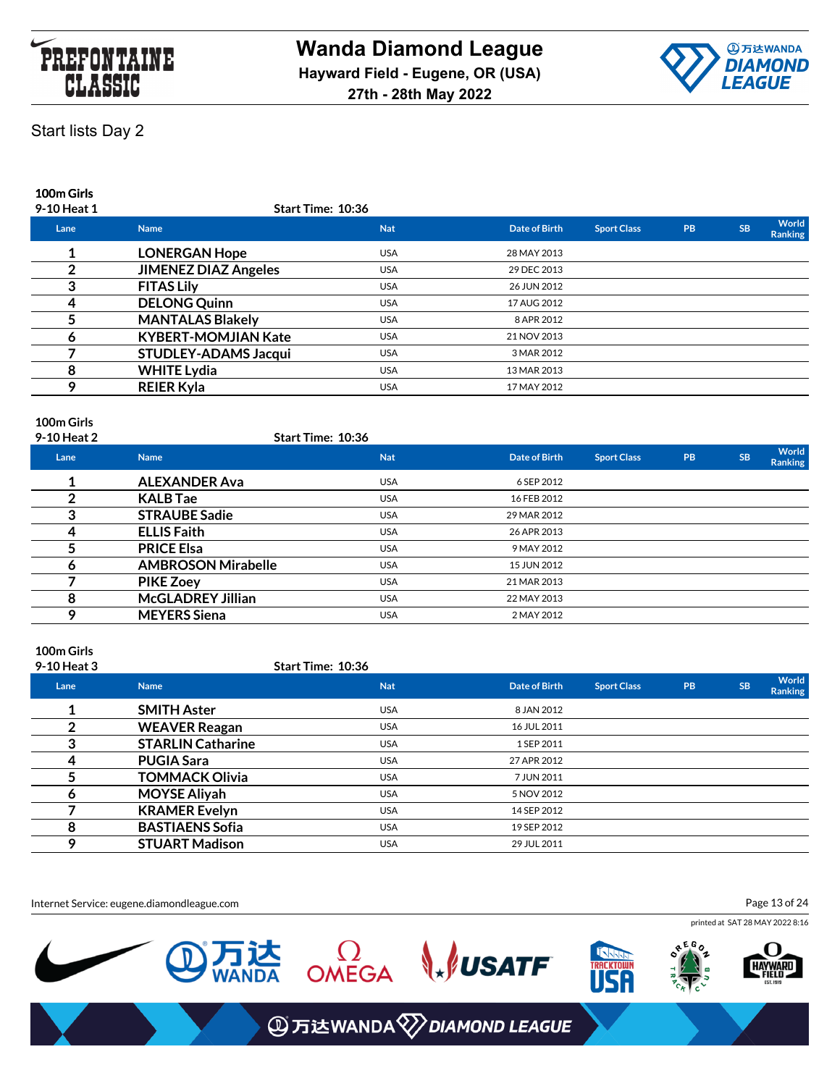



**100m Girls**

| 9-10 Heat 1 | Start Time: 10:36           |            |               |                    |           |           |                         |
|-------------|-----------------------------|------------|---------------|--------------------|-----------|-----------|-------------------------|
| Lane        | <b>Name</b>                 | <b>Nat</b> | Date of Birth | <b>Sport Class</b> | <b>PB</b> | <b>SB</b> | World<br><b>Ranking</b> |
|             | <b>LONERGAN Hope</b>        | <b>USA</b> | 28 MAY 2013   |                    |           |           |                         |
|             | <b>JIMENEZ DIAZ Angeles</b> | <b>USA</b> | 29 DEC 2013   |                    |           |           |                         |
|             | <b>FITAS Lily</b>           | <b>USA</b> | 26 JUN 2012   |                    |           |           |                         |
| 4           | <b>DELONG Quinn</b>         | <b>USA</b> | 17 AUG 2012   |                    |           |           |                         |
|             | <b>MANTALAS Blakely</b>     | <b>USA</b> | 8 APR 2012    |                    |           |           |                         |
|             | <b>KYBERT-MOMJIAN Kate</b>  | <b>USA</b> | 21 NOV 2013   |                    |           |           |                         |
|             | <b>STUDLEY-ADAMS Jacqui</b> | <b>USA</b> | 3 MAR 2012    |                    |           |           |                         |
| 8           | <b>WHITE Lydia</b>          | <b>USA</b> | 13 MAR 2013   |                    |           |           |                         |
| $\Omega$    | <b>REIER Kyla</b>           | <b>USA</b> | 17 MAY 2012   |                    |           |           |                         |
|             |                             |            |               |                    |           |           |                         |

### **100m Girls**

| 9-10 Heat 2 |                           | Start Time: 10:36 |               |                    |           |           |                         |
|-------------|---------------------------|-------------------|---------------|--------------------|-----------|-----------|-------------------------|
| Lane        | <b>Name</b>               | <b>Nat</b>        | Date of Birth | <b>Sport Class</b> | <b>PB</b> | <b>SB</b> | <b>World</b><br>Ranking |
|             | <b>ALEXANDER Ava</b>      | <b>USA</b>        | 6 SEP 2012    |                    |           |           |                         |
|             | <b>KALB</b> Tae           | <b>USA</b>        | 16 FEB 2012   |                    |           |           |                         |
| ≏           | <b>STRAUBE Sadie</b>      | <b>USA</b>        | 29 MAR 2012   |                    |           |           |                         |
| 4           | <b>ELLIS Faith</b>        | <b>USA</b>        | 26 APR 2013   |                    |           |           |                         |
|             | <b>PRICE Elsa</b>         | <b>USA</b>        | 9 MAY 2012    |                    |           |           |                         |
|             | <b>AMBROSON Mirabelle</b> | <b>USA</b>        | 15 JUN 2012   |                    |           |           |                         |
|             | <b>PIKE Zoey</b>          | <b>USA</b>        | 21 MAR 2013   |                    |           |           |                         |
| 8           | <b>McGLADREY Jillian</b>  | <b>USA</b>        | 22 MAY 2013   |                    |           |           |                         |
|             | <b>MEYERS Siena</b>       | <b>USA</b>        | 2 MAY 2012    |                    |           |           |                         |
|             |                           |                   |               |                    |           |           |                         |

## **100m Girls**

| 9-10 Heat 3 |                          | <b>Start Time: 10:36</b> |                      |                    |           |           |                                |
|-------------|--------------------------|--------------------------|----------------------|--------------------|-----------|-----------|--------------------------------|
| Lane        | <b>Name</b>              | <b>Nat</b>               | <b>Date of Birth</b> | <b>Sport Class</b> | <b>PB</b> | <b>SB</b> | <b>World</b><br><b>Ranking</b> |
|             | <b>SMITH Aster</b>       | <b>USA</b>               | 8 JAN 2012           |                    |           |           |                                |
|             | <b>WEAVER Reagan</b>     | <b>USA</b>               | 16 JUL 2011          |                    |           |           |                                |
| 3           | <b>STARLIN Catharine</b> | <b>USA</b>               | 1 SEP 2011           |                    |           |           |                                |
|             | <b>PUGIA Sara</b>        | <b>USA</b>               | 27 APR 2012          |                    |           |           |                                |
|             | <b>TOMMACK Olivia</b>    | <b>USA</b>               | 7 JUN 2011           |                    |           |           |                                |
| o           | <b>MOYSE Aliyah</b>      | <b>USA</b>               | 5 NOV 2012           |                    |           |           |                                |
|             | <b>KRAMER Evelyn</b>     | <b>USA</b>               | 14 SEP 2012          |                    |           |           |                                |
| 8           | <b>BASTIAENS Sofia</b>   | <b>USA</b>               | 19 SEP 2012          |                    |           |           |                                |
|             | <b>STUART Madison</b>    | <b>USA</b>               | 29 JUL 2011          |                    |           |           |                                |

Internet Service: eugene.diamondleague.com

Page 13 of 24

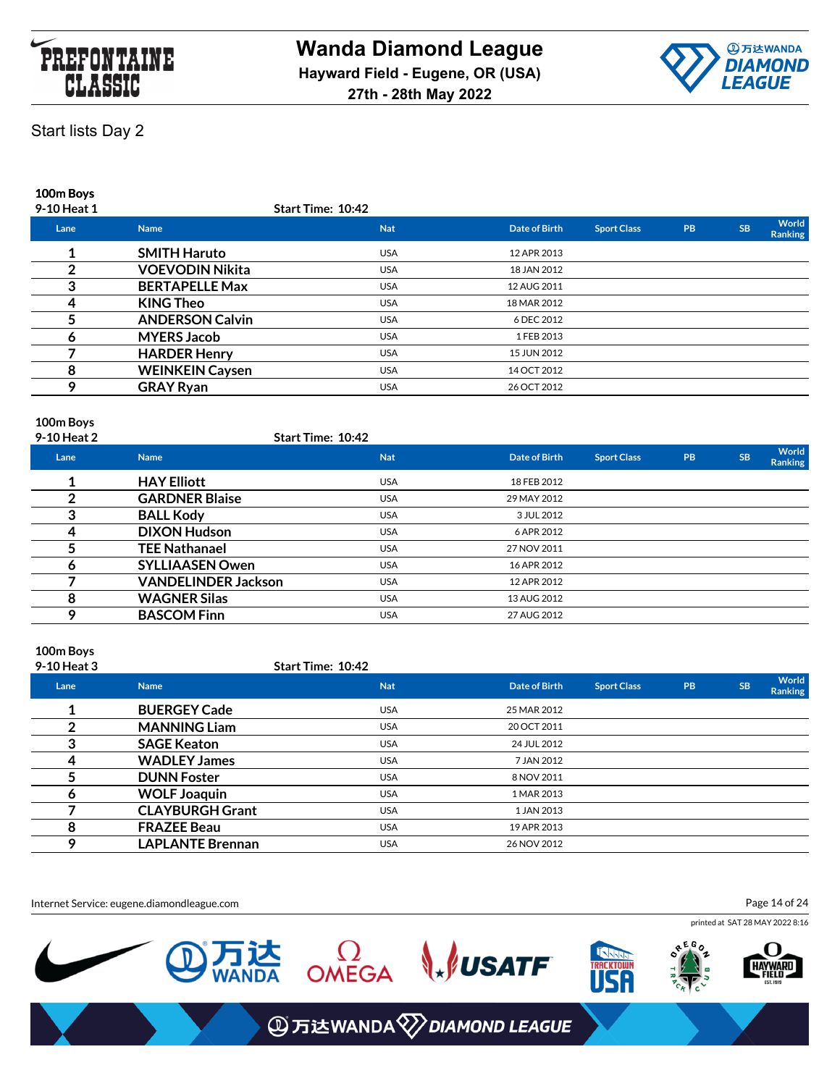



**100m Boys**

| 9-10 Heat 1 |                        | <b>Start Time: 10:42</b> |               |                    |           |           |                         |
|-------------|------------------------|--------------------------|---------------|--------------------|-----------|-----------|-------------------------|
| Lane        | <b>Name</b>            | <b>Nat</b>               | Date of Birth | <b>Sport Class</b> | <b>PB</b> | <b>SB</b> | World<br><b>Ranking</b> |
|             | <b>SMITH Haruto</b>    | <b>USA</b>               | 12 APR 2013   |                    |           |           |                         |
|             | <b>VOEVODIN Nikita</b> | <b>USA</b>               | 18 JAN 2012   |                    |           |           |                         |
|             | <b>BERTAPELLE Max</b>  | <b>USA</b>               | 12 AUG 2011   |                    |           |           |                         |
|             | <b>KING Theo</b>       | <b>USA</b>               | 18 MAR 2012   |                    |           |           |                         |
|             | <b>ANDERSON Calvin</b> | <b>USA</b>               | 6 DEC 2012    |                    |           |           |                         |
|             | <b>MYERS Jacob</b>     | <b>USA</b>               | 1 FEB 2013    |                    |           |           |                         |
|             | <b>HARDER Henry</b>    | <b>USA</b>               | 15 JUN 2012   |                    |           |           |                         |
| 8           | <b>WEINKEIN Caysen</b> | <b>USA</b>               | 14 OCT 2012   |                    |           |           |                         |
| $\Omega$    | <b>GRAY Ryan</b>       | <b>USA</b>               | 26 OCT 2012   |                    |           |           |                         |
|             |                        |                          |               |                    |           |           |                         |

### **100m Boys**

| 9-10 Heat 2 |                            | <b>Start Time: 10:42</b> |               |                    |           |           |                         |
|-------------|----------------------------|--------------------------|---------------|--------------------|-----------|-----------|-------------------------|
| Lane        | <b>Name</b>                | <b>Nat</b>               | Date of Birth | <b>Sport Class</b> | <b>PB</b> | <b>SB</b> | World<br><b>Ranking</b> |
|             | <b>HAY Elliott</b>         | <b>USA</b>               | 18 FEB 2012   |                    |           |           |                         |
|             | <b>GARDNER Blaise</b>      | <b>USA</b>               | 29 MAY 2012   |                    |           |           |                         |
| 3           | <b>BALL Kody</b>           | <b>USA</b>               | 3 JUL 2012    |                    |           |           |                         |
| 4           | <b>DIXON Hudson</b>        | <b>USA</b>               | 6 APR 2012    |                    |           |           |                         |
|             | <b>TEE Nathanael</b>       | <b>USA</b>               | 27 NOV 2011   |                    |           |           |                         |
|             | <b>SYLLIAASEN Owen</b>     | <b>USA</b>               | 16 APR 2012   |                    |           |           |                         |
|             | <b>VANDELINDER Jackson</b> | <b>USA</b>               | 12 APR 2012   |                    |           |           |                         |
| 8           | <b>WAGNER Silas</b>        | <b>USA</b>               | 13 AUG 2012   |                    |           |           |                         |
| o           | <b>BASCOM Finn</b>         | <b>USA</b>               | 27 AUG 2012   |                    |           |           |                         |
|             |                            |                          |               |                    |           |           |                         |

### **100m Boys**

| 9-10 Heat 3 |                         | <b>Start Time: 10:42</b> |               |                    |    |           |                         |
|-------------|-------------------------|--------------------------|---------------|--------------------|----|-----------|-------------------------|
| Lane        | <b>Name</b>             | <b>Nat</b>               | Date of Birth | <b>Sport Class</b> | PB | <b>SB</b> | World<br><b>Ranking</b> |
|             | <b>BUERGEY Cade</b>     | <b>USA</b>               | 25 MAR 2012   |                    |    |           |                         |
|             | <b>MANNING Liam</b>     | <b>USA</b>               | 20 OCT 2011   |                    |    |           |                         |
| 3           | <b>SAGE Keaton</b>      | <b>USA</b>               | 24 JUL 2012   |                    |    |           |                         |
|             | <b>WADLEY James</b>     | <b>USA</b>               | 7 JAN 2012    |                    |    |           |                         |
|             | <b>DUNN Foster</b>      | <b>USA</b>               | 8 NOV 2011    |                    |    |           |                         |
| o           | <b>WOLF Joaquin</b>     | <b>USA</b>               | 1 MAR 2013    |                    |    |           |                         |
|             | <b>CLAYBURGH Grant</b>  | <b>USA</b>               | 1 JAN 2013    |                    |    |           |                         |
| 8           | <b>FRAZEE Beau</b>      | <b>USA</b>               | 19 APR 2013   |                    |    |           |                         |
|             | <b>LAPLANTE Brennan</b> | <b>USA</b>               | 26 NOV 2012   |                    |    |           |                         |

Internet Service: eugene.diamondleague.com

Page 14 of 24

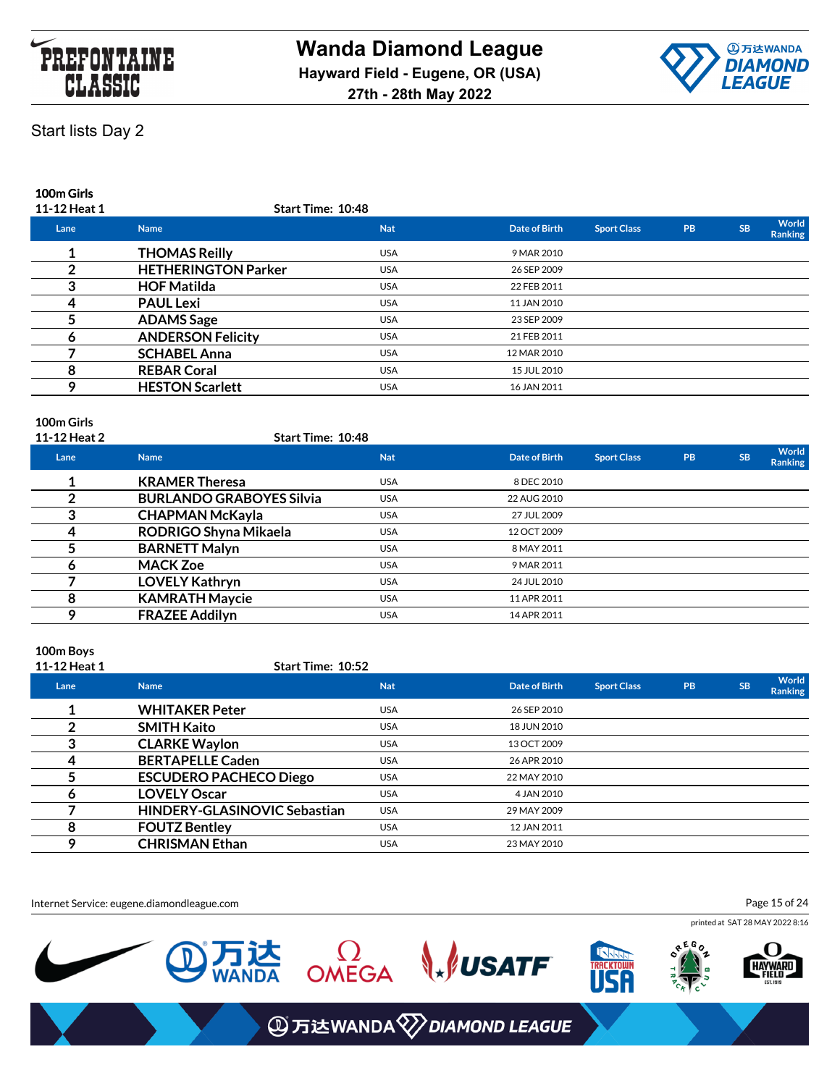



### **100m Girls**

| 11-12 Heat 1 | Start Time: 10:48          |            |               |                    |           |           |                         |
|--------------|----------------------------|------------|---------------|--------------------|-----------|-----------|-------------------------|
| Lane         | <b>Name</b>                | <b>Nat</b> | Date of Birth | <b>Sport Class</b> | <b>PB</b> | <b>SB</b> | World<br><b>Ranking</b> |
|              | <b>THOMAS Reilly</b>       | <b>USA</b> | 9 MAR 2010    |                    |           |           |                         |
|              | <b>HETHERINGTON Parker</b> | <b>USA</b> | 26 SEP 2009   |                    |           |           |                         |
|              | <b>HOF Matilda</b>         | <b>USA</b> | 22 FEB 2011   |                    |           |           |                         |
| 4            | <b>PAUL Lexi</b>           | <b>USA</b> | 11 JAN 2010   |                    |           |           |                         |
|              | <b>ADAMS</b> Sage          | <b>USA</b> | 23 SEP 2009   |                    |           |           |                         |
|              | <b>ANDERSON Felicity</b>   | <b>USA</b> | 21 FEB 2011   |                    |           |           |                         |
|              | <b>SCHABEL Anna</b>        | <b>USA</b> | 12 MAR 2010   |                    |           |           |                         |
| 8            | <b>REBAR Coral</b>         | <b>USA</b> | 15 JUL 2010   |                    |           |           |                         |
| ິດ           | <b>HESTON Scarlett</b>     | <b>USA</b> | 16 JAN 2011   |                    |           |           |                         |
|              |                            |            |               |                    |           |           |                         |

### **100m Girls**

| 11-12 Heat 2 | <b>Start Time: 10:48</b>        |            |                      |                    |           |           |                  |
|--------------|---------------------------------|------------|----------------------|--------------------|-----------|-----------|------------------|
| Lane         | <b>Name</b>                     | <b>Nat</b> | <b>Date of Birth</b> | <b>Sport Class</b> | <b>PB</b> | <b>SB</b> | World<br>Ranking |
|              | <b>KRAMER Theresa</b>           | <b>USA</b> | 8 DEC 2010           |                    |           |           |                  |
|              | <b>BURLANDO GRABOYES Silvia</b> | <b>USA</b> | 22 AUG 2010          |                    |           |           |                  |
| 3            | <b>CHAPMAN McKayla</b>          | <b>USA</b> | 27 JUL 2009          |                    |           |           |                  |
|              | RODRIGO Shyna Mikaela           | <b>USA</b> | 12 OCT 2009          |                    |           |           |                  |
|              | <b>BARNETT Malyn</b>            | <b>USA</b> | 8 MAY 2011           |                    |           |           |                  |
|              | <b>MACK Zoe</b>                 | <b>USA</b> | 9 MAR 2011           |                    |           |           |                  |
|              | <b>LOVELY Kathryn</b>           | <b>USA</b> | 24 JUL 2010          |                    |           |           |                  |
| 8            | <b>KAMRATH Maycie</b>           | <b>USA</b> | 11 APR 2011          |                    |           |           |                  |
| ο            | <b>FRAZEE Addilyn</b>           | <b>USA</b> | 14 APR 2011          |                    |           |           |                  |
|              |                                 |            |                      |                    |           |           |                  |

### **100m Boys**

| 11-12 Heat 1 | <b>Start Time: 10:52</b>            |            |               |                    |           |           |                  |
|--------------|-------------------------------------|------------|---------------|--------------------|-----------|-----------|------------------|
| Lane         | <b>Name</b>                         | <b>Nat</b> | Date of Birth | <b>Sport Class</b> | <b>PB</b> | <b>SB</b> | World<br>Ranking |
|              | <b>WHITAKER Peter</b>               | <b>USA</b> | 26 SEP 2010   |                    |           |           |                  |
|              | <b>SMITH Kaito</b>                  | <b>USA</b> | 18 JUN 2010   |                    |           |           |                  |
| 3            | <b>CLARKE Waylon</b>                | <b>USA</b> | 13 OCT 2009   |                    |           |           |                  |
|              | <b>BERTAPELLE Caden</b>             | <b>USA</b> | 26 APR 2010   |                    |           |           |                  |
|              | <b>ESCUDERO PACHECO Diego</b>       | <b>USA</b> | 22 MAY 2010   |                    |           |           |                  |
| n            | <b>LOVELY Oscar</b>                 | <b>USA</b> | 4 JAN 2010    |                    |           |           |                  |
|              | <b>HINDERY-GLASINOVIC Sebastian</b> | <b>USA</b> | 29 MAY 2009   |                    |           |           |                  |
| 8            | <b>FOUTZ Bentley</b>                | <b>USA</b> | 12 JAN 2011   |                    |           |           |                  |
|              | <b>CHRISMAN Ethan</b>               | <b>USA</b> | 23 MAY 2010   |                    |           |           |                  |

Internet Service: eugene.diamondleague.com

Page 15 of 24

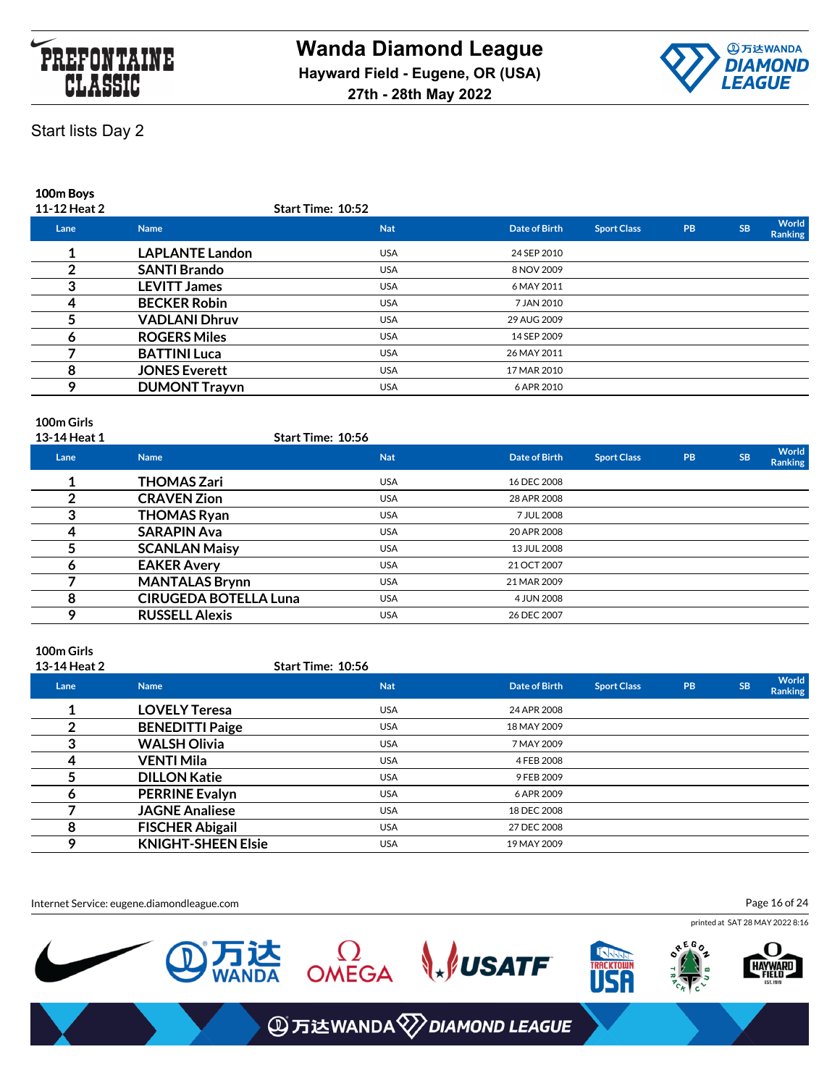



**100m Boys**

| 11-12 Heat 2 |                        | <b>Start Time: 10:52</b> |               |                    |           |           |                  |
|--------------|------------------------|--------------------------|---------------|--------------------|-----------|-----------|------------------|
| Lane         | <b>Name</b>            | <b>Nat</b>               | Date of Birth | <b>Sport Class</b> | <b>PB</b> | <b>SB</b> | World<br>Ranking |
|              | <b>LAPLANTE Landon</b> | <b>USA</b>               | 24 SEP 2010   |                    |           |           |                  |
|              | <b>SANTI Brando</b>    | <b>USA</b>               | 8 NOV 2009    |                    |           |           |                  |
|              | <b>LEVITT James</b>    | <b>USA</b>               | 6 MAY 2011    |                    |           |           |                  |
| 4            | <b>BECKER Robin</b>    | <b>USA</b>               | 7 JAN 2010    |                    |           |           |                  |
|              | <b>VADLANI Dhruv</b>   | <b>USA</b>               | 29 AUG 2009   |                    |           |           |                  |
|              | <b>ROGERS Miles</b>    | <b>USA</b>               | 14 SEP 2009   |                    |           |           |                  |
|              | <b>BATTINI Luca</b>    | <b>USA</b>               | 26 MAY 2011   |                    |           |           |                  |
| 8            | <b>JONES Everett</b>   | <b>USA</b>               | 17 MAR 2010   |                    |           |           |                  |
| o            | <b>DUMONT Trayvn</b>   | <b>USA</b>               | 6 APR 2010    |                    |           |           |                  |
|              |                        |                          |               |                    |           |           |                  |

### **100m Girls**

| 13-14 Heat 1 |                              | Start Time: 10:56 |                      |                    |           |           |                  |
|--------------|------------------------------|-------------------|----------------------|--------------------|-----------|-----------|------------------|
| Lane         | <b>Name</b>                  | <b>Nat</b>        | <b>Date of Birth</b> | <b>Sport Class</b> | <b>PB</b> | <b>SB</b> | World<br>Ranking |
|              | <b>THOMAS Zari</b>           | <b>USA</b>        | 16 DEC 2008          |                    |           |           |                  |
|              | <b>CRAVEN Zion</b>           | <b>USA</b>        | 28 APR 2008          |                    |           |           |                  |
|              | <b>THOMAS Ryan</b>           | <b>USA</b>        | 7 JUL 2008           |                    |           |           |                  |
| 4            | <b>SARAPIN Ava</b>           | <b>USA</b>        | 20 APR 2008          |                    |           |           |                  |
|              | <b>SCANLAN Maisy</b>         | <b>USA</b>        | 13 JUL 2008          |                    |           |           |                  |
|              | <b>EAKER Avery</b>           | <b>USA</b>        | 21 OCT 2007          |                    |           |           |                  |
|              | <b>MANTALAS Brynn</b>        | <b>USA</b>        | 21 MAR 2009          |                    |           |           |                  |
| 8            | <b>CIRUGEDA BOTELLA Luna</b> | <b>USA</b>        | 4 JUN 2008           |                    |           |           |                  |
| ο            | <b>RUSSELL Alexis</b>        | <b>USA</b>        | 26 DEC 2007          |                    |           |           |                  |
|              |                              |                   |                      |                    |           |           |                  |

## **100m Girls**

| 13-14 Heat 2 |                           | Start Time: 10:56 |                      |                    |           |           |                                |
|--------------|---------------------------|-------------------|----------------------|--------------------|-----------|-----------|--------------------------------|
| Lane         | <b>Name</b>               | <b>Nat</b>        | <b>Date of Birth</b> | <b>Sport Class</b> | <b>PB</b> | <b>SB</b> | <b>World</b><br><b>Ranking</b> |
|              | <b>LOVELY Teresa</b>      | <b>USA</b>        | 24 APR 2008          |                    |           |           |                                |
|              | <b>BENEDITTI Paige</b>    | <b>USA</b>        | 18 MAY 2009          |                    |           |           |                                |
|              | <b>WALSH Olivia</b>       | <b>USA</b>        | 7 MAY 2009           |                    |           |           |                                |
|              | VENTI Mila                | <b>USA</b>        | 4 FEB 2008           |                    |           |           |                                |
|              | <b>DILLON Katie</b>       | <b>USA</b>        | 9 FEB 2009           |                    |           |           |                                |
| o            | <b>PERRINE Evalyn</b>     | <b>USA</b>        | 6 APR 2009           |                    |           |           |                                |
|              | <b>JAGNE Analiese</b>     | <b>USA</b>        | 18 DEC 2008          |                    |           |           |                                |
|              | <b>FISCHER Abigail</b>    | <b>USA</b>        | 27 DEC 2008          |                    |           |           |                                |
| Q            | <b>KNIGHT-SHEEN Elsie</b> | <b>USA</b>        | 19 MAY 2009          |                    |           |           |                                |

Internet Service: eugene.diamondleague.com

Page 16 of 24

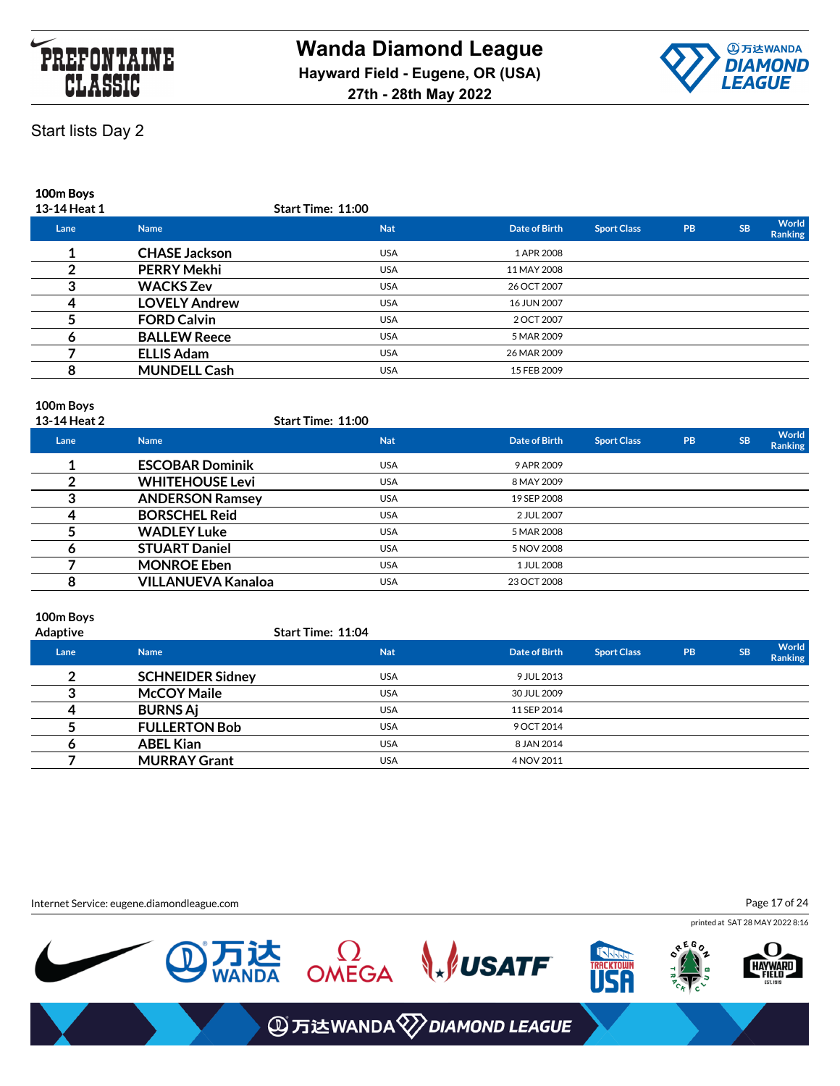



**100m Boys**

| 13-14 Heat 1 |                      | <b>Start Time: 11:00</b> |               |                    |           |           |                  |
|--------------|----------------------|--------------------------|---------------|--------------------|-----------|-----------|------------------|
| Lane         | <b>Name</b>          | <b>Nat</b>               | Date of Birth | <b>Sport Class</b> | <b>PB</b> | <b>SB</b> | World<br>Ranking |
|              | <b>CHASE Jackson</b> | <b>USA</b>               | 1 APR 2008    |                    |           |           |                  |
|              | <b>PERRY Mekhi</b>   | <b>USA</b>               | 11 MAY 2008   |                    |           |           |                  |
|              | <b>WACKS Zev</b>     | <b>USA</b>               | 26 OCT 2007   |                    |           |           |                  |
|              | <b>LOVELY Andrew</b> | <b>USA</b>               | 16 JUN 2007   |                    |           |           |                  |
|              | <b>FORD Calvin</b>   | <b>USA</b>               | 2 OCT 2007    |                    |           |           |                  |
|              | <b>BALLEW Reece</b>  | <b>USA</b>               | 5 MAR 2009    |                    |           |           |                  |
|              | <b>ELLIS Adam</b>    | <b>USA</b>               | 26 MAR 2009   |                    |           |           |                  |
|              | <b>MUNDELL Cash</b>  | <b>USA</b>               | 15 FEB 2009   |                    |           |           |                  |
|              |                      |                          |               |                    |           |           |                  |

# **100m Boys**

| 13-14 Heat 2 |                           | <b>Start Time: 11:00</b> |               |                    |           |           |                         |
|--------------|---------------------------|--------------------------|---------------|--------------------|-----------|-----------|-------------------------|
| Lane         | <b>Name</b>               | <b>Nat</b>               | Date of Birth | <b>Sport Class</b> | <b>PB</b> | <b>SB</b> | World<br><b>Ranking</b> |
|              | <b>ESCOBAR Dominik</b>    | <b>USA</b>               | 9 APR 2009    |                    |           |           |                         |
|              | <b>WHITEHOUSE Levi</b>    | <b>USA</b>               | 8 MAY 2009    |                    |           |           |                         |
|              | <b>ANDERSON Ramsey</b>    | <b>USA</b>               | 19 SEP 2008   |                    |           |           |                         |
|              | <b>BORSCHEL Reid</b>      | <b>USA</b>               | 2 JUL 2007    |                    |           |           |                         |
|              | <b>WADLEY Luke</b>        | <b>USA</b>               | 5 MAR 2008    |                    |           |           |                         |
|              | <b>STUART Daniel</b>      | <b>USA</b>               | 5 NOV 2008    |                    |           |           |                         |
|              | <b>MONROE Eben</b>        | <b>USA</b>               | 1 JUL 2008    |                    |           |           |                         |
|              | <b>VILLANUEVA Kanaloa</b> | <b>USA</b>               | 23 OCT 2008   |                    |           |           |                         |
|              |                           |                          |               |                    |           |           |                         |

### **100m Boys**

| Adaptive | <b>Start Time: 11:04</b> |
|----------|--------------------------|

| Lane | <b>Name</b>             | <b>Nat</b> | Date of Birth | <b>Sport Class</b> | <b>PB</b> | <b>SB</b> | World<br>Ranking |
|------|-------------------------|------------|---------------|--------------------|-----------|-----------|------------------|
| ◠    | <b>SCHNEIDER Sidney</b> | <b>USA</b> | 9 JUL 2013    |                    |           |           |                  |
|      | <b>McCOY Maile</b>      | <b>USA</b> | 30 JUL 2009   |                    |           |           |                  |
| 4    | <b>BURNS Aj</b>         | <b>USA</b> | 11 SEP 2014   |                    |           |           |                  |
|      | <b>FULLERTON Bob</b>    | <b>USA</b> | 9 OCT 2014    |                    |           |           |                  |
|      | <b>ABEL Kian</b>        | <b>USA</b> | 8 JAN 2014    |                    |           |           |                  |
|      | <b>MURRAY Grant</b>     | <b>USA</b> | 4 NOV 2011    |                    |           |           |                  |

Internet Service: eugene.diamondleague.com

Page 17 of 24

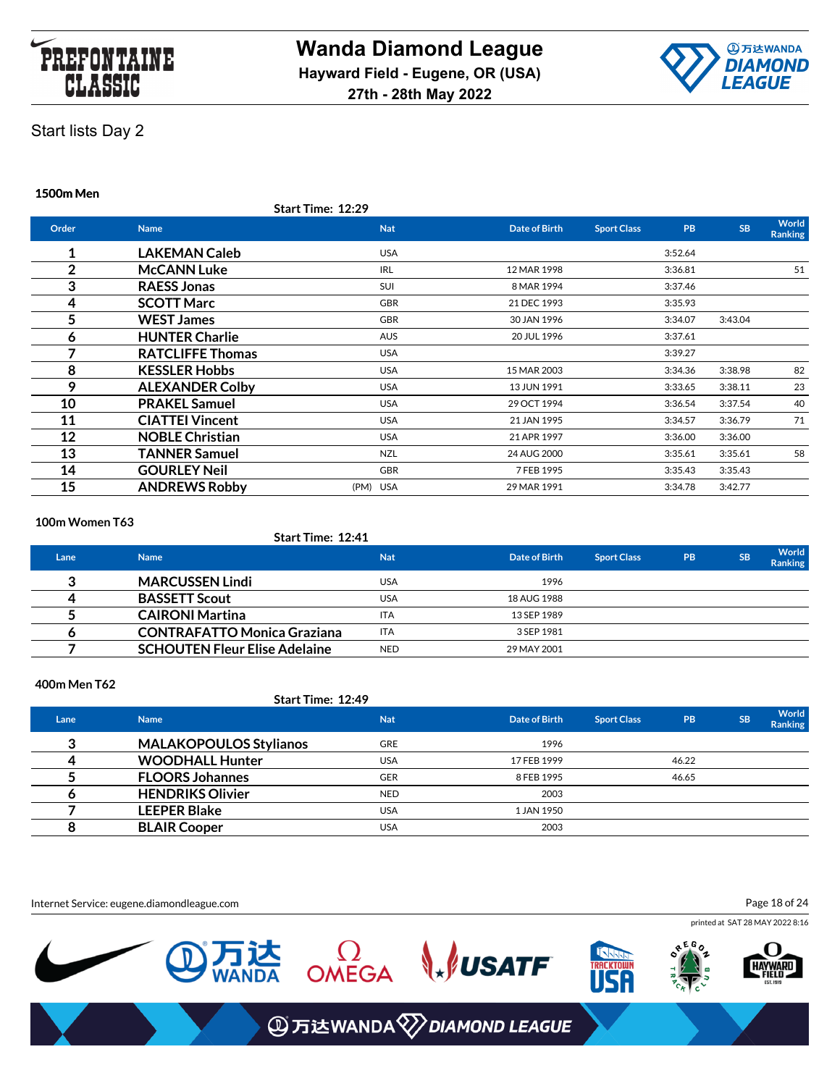



**1500m Men**

| <b>Name</b>             | <b>Nat</b> | Date of Birth            | <b>PB</b><br><b>Sport Class</b> | <b>SB</b> | <b>World</b><br><b>Ranking</b> |
|-------------------------|------------|--------------------------|---------------------------------|-----------|--------------------------------|
| <b>LAKEMAN Caleb</b>    | <b>USA</b> |                          | 3:52.64                         |           |                                |
| <b>McCANN Luke</b>      | <b>IRL</b> | 12 MAR 1998              | 3:36.81                         |           | 51                             |
| <b>RAESS Jonas</b>      | <b>SUI</b> | 8 MAR 1994               | 3:37.46                         |           |                                |
| <b>SCOTT Marc</b>       | <b>GBR</b> | 21 DEC 1993              | 3:35.93                         |           |                                |
| <b>WEST James</b>       | <b>GBR</b> | 30 JAN 1996              | 3:34.07                         | 3:43.04   |                                |
| <b>HUNTER Charlie</b>   | <b>AUS</b> | 20 JUL 1996              | 3:37.61                         |           |                                |
| <b>RATCLIFFE Thomas</b> | <b>USA</b> |                          | 3:39.27                         |           |                                |
| <b>KESSLER Hobbs</b>    | <b>USA</b> | 15 MAR 2003              | 3:34.36                         | 3:38.98   | 82                             |
| <b>ALEXANDER Colby</b>  | <b>USA</b> | 13 JUN 1991              | 3:33.65                         | 3:38.11   | 23                             |
| <b>PRAKEL Samuel</b>    | <b>USA</b> | 29 OCT 1994              | 3:36.54                         | 3:37.54   | 40                             |
| <b>CIATTEI Vincent</b>  | <b>USA</b> | 21 JAN 1995              | 3:34.57                         | 3:36.79   | 71                             |
| <b>NOBLE Christian</b>  | <b>USA</b> | 21 APR 1997              | 3:36.00                         | 3:36.00   |                                |
| <b>TANNER Samuel</b>    | NZL        | 24 AUG 2000              | 3:35.61                         | 3:35.61   | 58                             |
| <b>GOURLEY Neil</b>     | <b>GBR</b> | 7 FEB 1995               | 3:35.43                         | 3:35.43   |                                |
| <b>ANDREWS Robby</b>    | (PM) USA   | 29 MAR 1991              | 3:34.78                         | 3:42.77   |                                |
|                         |            | <b>Start Time: 12:29</b> |                                 |           |                                |

#### **100m Women T63**

### **Start Time: 12:41**

| Lane | <b>Name</b>                          | <b>Nat</b> | Date of Birth | <b>Sport Class</b> | <b>PB</b> | <b>SB</b> | <b>World</b><br><b>Ranking</b> |
|------|--------------------------------------|------------|---------------|--------------------|-----------|-----------|--------------------------------|
|      | <b>MARCUSSEN Lindi</b>               | <b>USA</b> | 1996          |                    |           |           |                                |
|      | <b>BASSETT Scout</b>                 | <b>USA</b> | 18 AUG 1988   |                    |           |           |                                |
|      | <b>CAIRONI Martina</b>               | <b>ITA</b> | 13 SEP 1989   |                    |           |           |                                |
|      | <b>CONTRAFATTO Monica Graziana</b>   | <b>ITA</b> | 3 SEP 1981    |                    |           |           |                                |
|      | <b>SCHOUTEN Fleur Elise Adelaine</b> | <b>NED</b> | 29 MAY 2001   |                    |           |           |                                |

#### **400m Men T62**

### **Start Time: 12:49**

| Lane | <b>Name</b>                   | <b>Nat</b> | Date of Birth | <b>Sport Class</b> | <b>PB</b> | <b>SB</b> | World<br><b>Ranking</b> |
|------|-------------------------------|------------|---------------|--------------------|-----------|-----------|-------------------------|
| ≏    | <b>MALAKOPOULOS Stylianos</b> | <b>GRE</b> | 1996          |                    |           |           |                         |
|      | <b>WOODHALL Hunter</b>        | <b>USA</b> | 17 FEB 1999   |                    | 46.22     |           |                         |
|      | <b>FLOORS Johannes</b>        | <b>GER</b> | 8 FEB 1995    |                    | 46.65     |           |                         |
|      | <b>HENDRIKS Olivier</b>       | <b>NED</b> | 2003          |                    |           |           |                         |
|      | <b>LEEPER Blake</b>           | <b>USA</b> | 1 JAN 1950    |                    |           |           |                         |
|      | <b>BLAIR Cooper</b>           | <b>USA</b> | 2003          |                    |           |           |                         |

Internet Service: eugene.diamondleague.com

Page 18 of 24

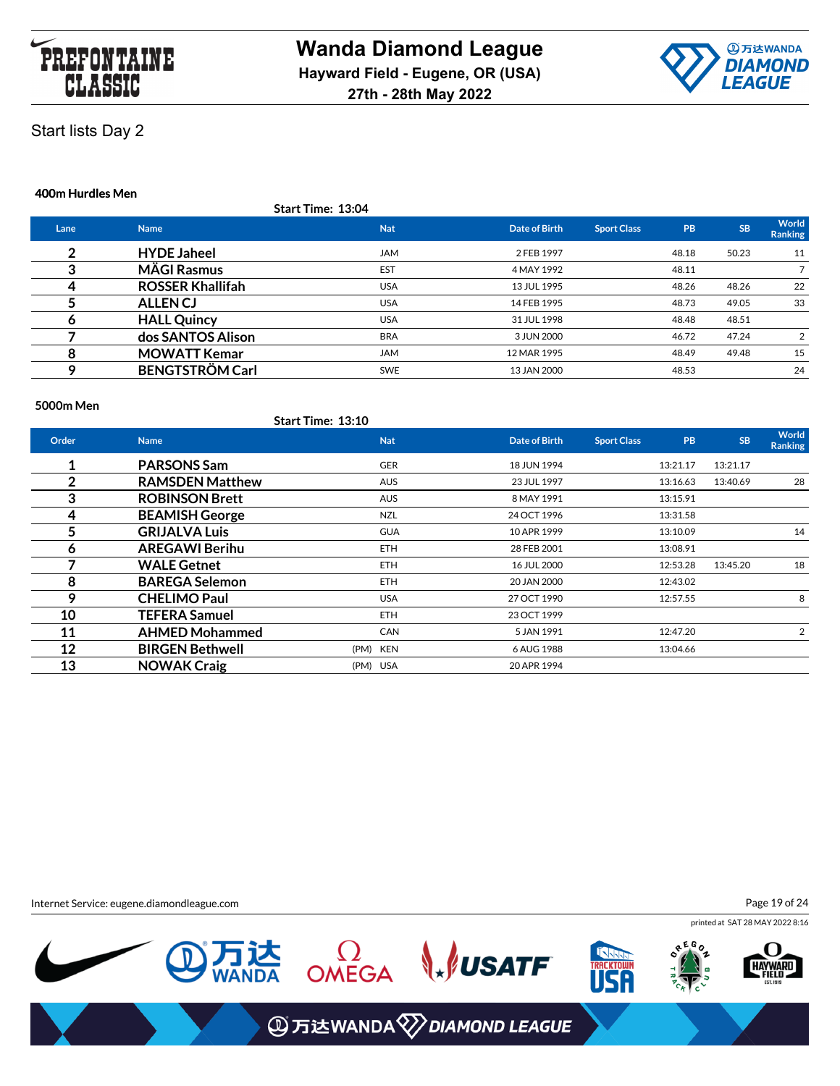



#### **400m Hurdles Men**

|      |                         | <b>Start Time: 13:04</b> |               |                    |       |           |                         |
|------|-------------------------|--------------------------|---------------|--------------------|-------|-----------|-------------------------|
| Lane | <b>Name</b>             | <b>Nat</b>               | Date of Birth | <b>Sport Class</b> | PB    | <b>SB</b> | World<br><b>Ranking</b> |
|      | <b>HYDE Jaheel</b>      | <b>JAM</b>               | 2 FEB 1997    |                    | 48.18 | 50.23     | 11                      |
| ◠    | <b>MÄGI Rasmus</b>      | EST                      | 4 MAY 1992    |                    | 48.11 |           |                         |
| ⊿    | <b>ROSSER Khallifah</b> | <b>USA</b>               | 13 JUL 1995   |                    | 48.26 | 48.26     | 22                      |
|      | <b>ALLENCJ</b>          | <b>USA</b>               | 14 FEB 1995   |                    | 48.73 | 49.05     | 33                      |
| o    | <b>HALL Quincy</b>      | <b>USA</b>               | 31 JUL 1998   |                    | 48.48 | 48.51     |                         |
|      | dos SANTOS Alison       | <b>BRA</b>               | 3 JUN 2000    |                    | 46.72 | 47.24     | 2                       |
| 8    | <b>MOWATT Kemar</b>     | <b>JAM</b>               | 12 MAR 1995   |                    | 48.49 | 49.48     | 15                      |
| Ω    | <b>BENGTSTRÖM Carl</b>  | <b>SWE</b>               | 13 JAN 2000   |                    | 48.53 |           | 24                      |

#### **5000m Men**

|       |                        | Start Time: 13:10 |            |               |                    |           |           |                         |
|-------|------------------------|-------------------|------------|---------------|--------------------|-----------|-----------|-------------------------|
| Order | <b>Name</b>            |                   | <b>Nat</b> | Date of Birth | <b>Sport Class</b> | <b>PB</b> | <b>SB</b> | World<br><b>Ranking</b> |
|       | <b>PARSONS Sam</b>     |                   | GER        | 18 JUN 1994   |                    | 13:21.17  | 13:21.17  |                         |
| 2     | <b>RAMSDEN Matthew</b> |                   | <b>AUS</b> | 23 JUL 1997   |                    | 13:16.63  | 13:40.69  | 28                      |
| 3     | <b>ROBINSON Brett</b>  |                   | <b>AUS</b> | 8 MAY 1991    |                    | 13:15.91  |           |                         |
| 4     | <b>BEAMISH George</b>  |                   | NZL        | 24 OCT 1996   |                    | 13:31.58  |           |                         |
| 5     | <b>GRIJALVA Luis</b>   |                   | <b>GUA</b> | 10 APR 1999   |                    | 13:10.09  |           | 14                      |
| 6     | <b>AREGAWI Berihu</b>  |                   | <b>ETH</b> | 28 FEB 2001   |                    | 13:08.91  |           |                         |
|       | <b>WALE Getnet</b>     |                   | <b>ETH</b> | 16 JUL 2000   |                    | 12:53.28  | 13:45.20  | 18                      |
| 8     | <b>BAREGA Selemon</b>  |                   | ETH.       | 20 JAN 2000   |                    | 12:43.02  |           |                         |
| 9     | <b>CHELIMO Paul</b>    |                   | <b>USA</b> | 27 OCT 1990   |                    | 12:57.55  |           | 8                       |
| 10    | <b>TEFERA Samuel</b>   |                   | ETH.       | 23 OCT 1999   |                    |           |           |                         |
| 11    | <b>AHMED Mohammed</b>  |                   | <b>CAN</b> | 5 JAN 1991    |                    | 12:47.20  |           | 2                       |
| 12    | <b>BIRGEN Bethwell</b> | (PM) KEN          |            | 6 AUG 1988    |                    | 13:04.66  |           |                         |
| 13    | <b>NOWAK Craig</b>     | (PM) USA          |            | 20 APR 1994   |                    |           |           |                         |

Internet Service: eugene.diamondleague.com

Page 19 of 24

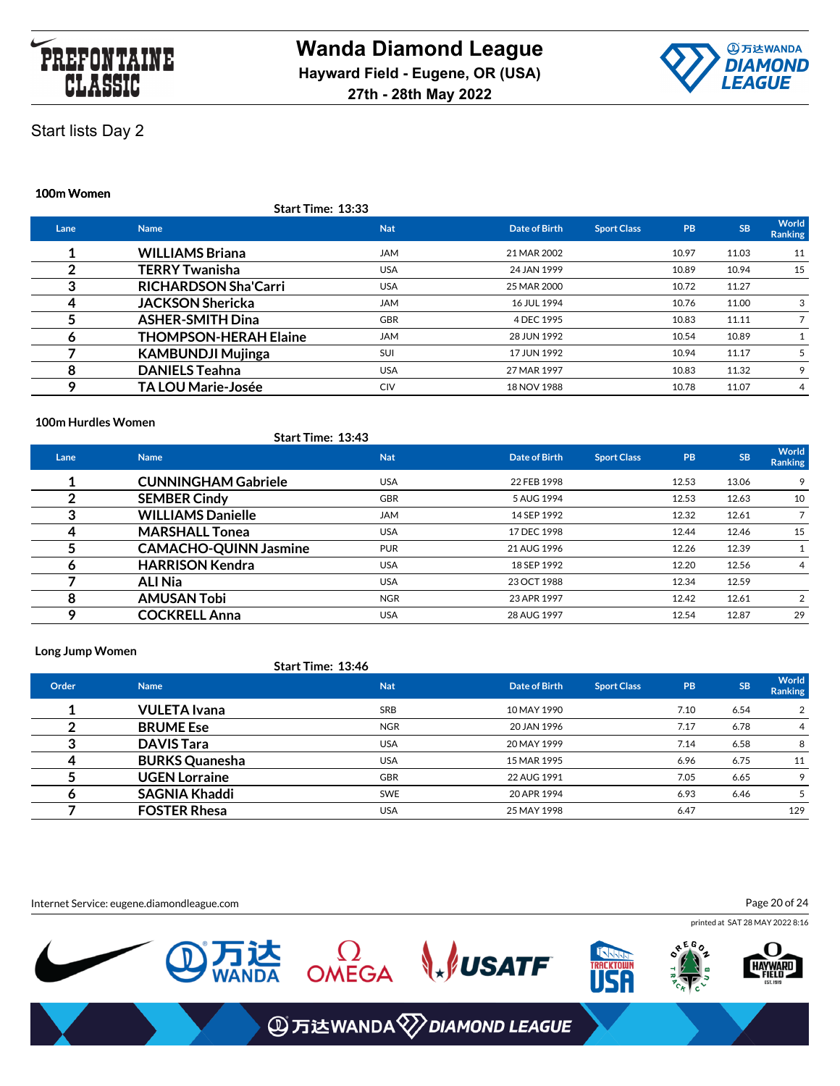



#### **100m Women**

|          | Start Time: 13:33            |            |               |                    |           |           |                  |
|----------|------------------------------|------------|---------------|--------------------|-----------|-----------|------------------|
| Lane     | <b>Name</b>                  | <b>Nat</b> | Date of Birth | <b>Sport Class</b> | <b>PB</b> | <b>SB</b> | World<br>Ranking |
|          | <b>WILLIAMS Briana</b>       | <b>JAM</b> | 21 MAR 2002   |                    | 10.97     | 11.03     | 11               |
| າ        | <b>TERRY Twanisha</b>        | <b>USA</b> | 24 JAN 1999   |                    | 10.89     | 10.94     | 15               |
| <u>ົ</u> | <b>RICHARDSON Sha'Carri</b>  | <b>USA</b> | 25 MAR 2000   |                    | 10.72     | 11.27     |                  |
|          | <b>JACKSON Shericka</b>      | <b>JAM</b> | 16 JUL 1994   |                    | 10.76     | 11.00     | 3                |
|          | <b>ASHER-SMITH Dina</b>      | <b>GBR</b> | 4 DEC 1995    |                    | 10.83     | 11.11     |                  |
| O        | <b>THOMPSON-HERAH Elaine</b> | <b>JAM</b> | 28 JUN 1992   |                    | 10.54     | 10.89     |                  |
|          | <b>KAMBUNDJI Mujinga</b>     | SUI        | 17 JUN 1992   |                    | 10.94     | 11.17     |                  |
| 8        | <b>DANIELS Teahna</b>        | <b>USA</b> | 27 MAR 1997   |                    | 10.83     | 11.32     | 9                |
| Q        | <b>TA LOU Marie-Josée</b>    | CIV        | 18 NOV 1988   |                    | 10.78     | 11.07     | 4                |

#### **100m Hurdles Women**

|      | <b>Start Time: 13:43</b>     |            |               |                    |           |           |                  |
|------|------------------------------|------------|---------------|--------------------|-----------|-----------|------------------|
| Lane | <b>Name</b>                  | <b>Nat</b> | Date of Birth | <b>Sport Class</b> | <b>PB</b> | <b>SB</b> | World<br>Ranking |
|      | <b>CUNNINGHAM Gabriele</b>   | <b>USA</b> | 22 FEB 1998   |                    | 12.53     | 13.06     | 9                |
|      | <b>SEMBER Cindy</b>          | <b>GBR</b> | 5 AUG 1994    |                    | 12.53     | 12.63     | 10               |
|      | <b>WILLIAMS Danielle</b>     | <b>JAM</b> | 14 SEP 1992   |                    | 12.32     | 12.61     |                  |
|      | <b>MARSHALL Tonea</b>        | <b>USA</b> | 17 DEC 1998   |                    | 12.44     | 12.46     | 15               |
|      | <b>CAMACHO-QUINN Jasmine</b> | <b>PUR</b> | 21 AUG 1996   |                    | 12.26     | 12.39     |                  |
|      | <b>HARRISON Kendra</b>       | <b>USA</b> | 18 SEP 1992   |                    | 12.20     | 12.56     | 4                |
|      | <b>ALI Nia</b>               | <b>USA</b> | 23 OCT 1988   |                    | 12.34     | 12.59     |                  |
| 8    | <b>AMUSAN Tobi</b>           | <b>NGR</b> | 23 APR 1997   |                    | 12.42     | 12.61     | 2                |
| Ω    | <b>COCKRELL Anna</b>         | <b>USA</b> | 28 AUG 1997   |                    | 12.54     | 12.87     | 29               |

#### **Long Jump Women**

#### **Start Time: 13:46**

| Order | <b>Name</b>           | <b>Nat</b> | Date of Birth | <b>Sport Class</b> | PB   | <b>SB</b> | World<br><b>Ranking</b> |
|-------|-----------------------|------------|---------------|--------------------|------|-----------|-------------------------|
|       | <b>VULETA</b> Ivana   | <b>SRB</b> | 10 MAY 1990   |                    | 7.10 | 6.54      | 2                       |
|       | <b>BRUME Ese</b>      | <b>NGR</b> | 20 JAN 1996   |                    | 7.17 | 6.78      | $\overline{4}$          |
|       | <b>DAVIS Tara</b>     | <b>USA</b> | 20 MAY 1999   |                    | 7.14 | 6.58      | 8                       |
|       | <b>BURKS Quanesha</b> | <b>USA</b> | 15 MAR 1995   |                    | 6.96 | 6.75      | 11                      |
|       | <b>UGEN Lorraine</b>  | <b>GBR</b> | 22 AUG 1991   |                    | 7.05 | 6.65      | 9                       |
|       | <b>SAGNIA Khaddi</b>  | <b>SWE</b> | 20 APR 1994   |                    | 6.93 | 6.46      |                         |
|       | <b>FOSTER Rhesa</b>   | <b>USA</b> | 25 MAY 1998   |                    | 6.47 |           | 129                     |

Internet Service: eugene.diamondleague.com

Page 20 of 24

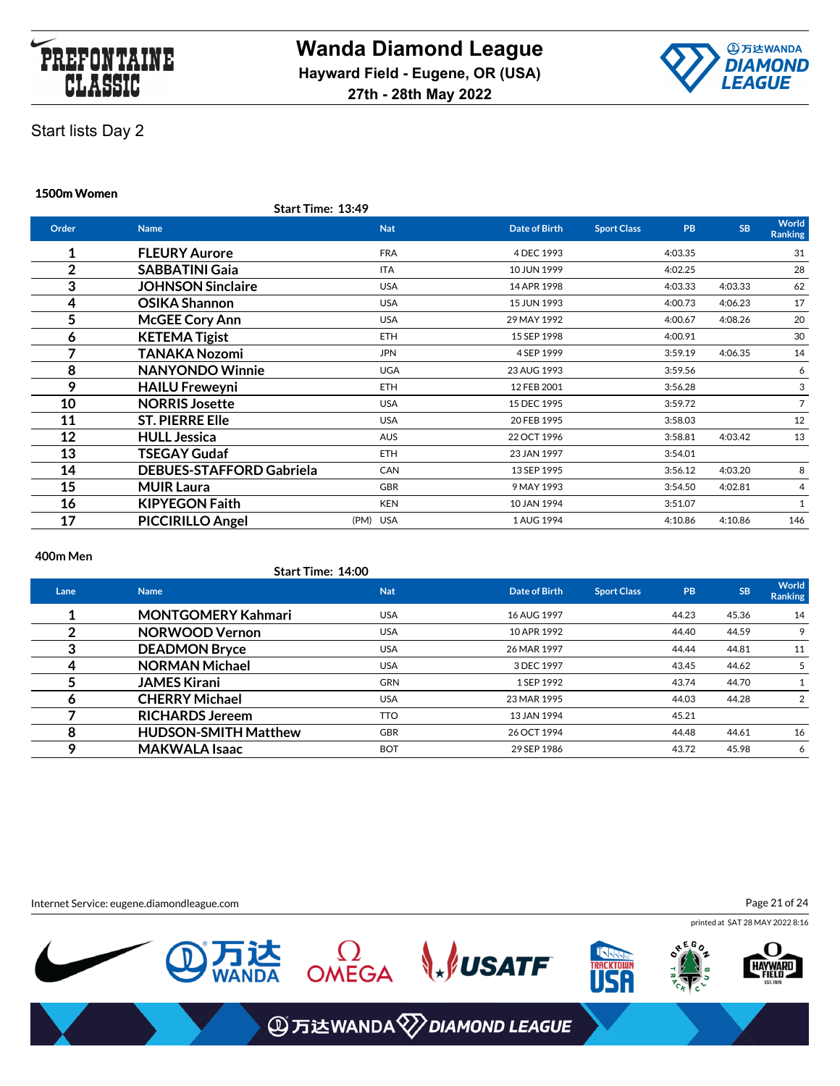



### **1500m Women**

|                | Start Time: 13:49               |            |                      |                    |                        |                         |
|----------------|---------------------------------|------------|----------------------|--------------------|------------------------|-------------------------|
| Order          | <b>Name</b>                     | <b>Nat</b> | <b>Date of Birth</b> | <b>Sport Class</b> | <b>SB</b><br><b>PB</b> | World<br><b>Ranking</b> |
| 1              | <b>FLEURY Aurore</b>            | <b>FRA</b> | 4 DEC 1993           |                    | 4:03.35                | 31                      |
| $\overline{2}$ | <b>SABBATINI Gaia</b>           | <b>ITA</b> | 10 JUN 1999          |                    | 4:02.25                | 28                      |
| 3              | <b>JOHNSON Sinclaire</b>        | <b>USA</b> | 14 APR 1998          |                    | 4:03.33<br>4:03.33     | 62                      |
| 4              | <b>OSIKA Shannon</b>            | <b>USA</b> | 15 JUN 1993          |                    | 4:06.23<br>4:00.73     | 17                      |
| 5              | <b>McGEE Cory Ann</b>           | <b>USA</b> | 29 MAY 1992          |                    | 4:08.26<br>4:00.67     | 20                      |
| 6              | <b>KETEMA Tigist</b>            | <b>ETH</b> | 15 SEP 1998          |                    | 4:00.91                | 30                      |
|                | TANAKA Nozomi                   | <b>JPN</b> | 4 SEP 1999           |                    | 4:06.35<br>3:59.19     | 14                      |
| 8              | <b>NANYONDO Winnie</b>          | <b>UGA</b> | 23 AUG 1993          |                    | 3:59.56                | 6                       |
| 9              | <b>HAILU Freweyni</b>           | <b>ETH</b> | 12 FEB 2001          |                    | 3:56.28                | 3                       |
| 10             | <b>NORRIS Josette</b>           | <b>USA</b> | 15 DEC 1995          |                    | 3:59.72                | $\overline{7}$          |
| 11             | <b>ST. PIERRE Elle</b>          | <b>USA</b> | 20 FEB 1995          |                    | 3:58.03                | 12                      |
| 12             | <b>HULL Jessica</b>             | <b>AUS</b> | 22 OCT 1996          |                    | 3:58.81<br>4:03.42     | 13                      |
| 13             | TSEGAY Gudaf                    | <b>ETH</b> | 23 JAN 1997          |                    | 3:54.01                |                         |
| 14             | <b>DEBUES-STAFFORD Gabriela</b> | CAN        | 13 SEP 1995          |                    | 3:56.12<br>4:03.20     | 8                       |
| 15             | <b>MUIR Laura</b>               | <b>GBR</b> | 9 MAY 1993           |                    | 3:54.50<br>4:02.81     | 4                       |
| 16             | <b>KIPYEGON Faith</b>           | <b>KEN</b> | 10 JAN 1994          |                    | 3:51.07                | $\mathbf{1}$            |
| 17             | <b>PICCIRILLO Angel</b>         | (PM) USA   | 1 AUG 1994           |                    | 4:10.86<br>4:10.86     | 146                     |

#### **400m Men**

**Start Time: 14:00**

| Lane | <b>Name</b>                 | <b>Nat</b> | Date of Birth | <b>Sport Class</b> | <b>PB</b> | <b>SB</b> | World<br><b>Ranking</b> |
|------|-----------------------------|------------|---------------|--------------------|-----------|-----------|-------------------------|
|      | <b>MONTGOMERY Kahmari</b>   | <b>USA</b> | 16 AUG 1997   |                    | 44.23     | 45.36     | 14                      |
|      | <b>NORWOOD Vernon</b>       | <b>USA</b> | 10 APR 1992   |                    | 44.40     | 44.59     | 9                       |
|      | <b>DEADMON Bryce</b>        | <b>USA</b> | 26 MAR 1997   |                    | 44.44     | 44.81     | 11                      |
|      | <b>NORMAN Michael</b>       | <b>USA</b> | 3 DEC 1997    |                    | 43.45     | 44.62     |                         |
|      | <b>JAMES Kirani</b>         | <b>GRN</b> | 1 SEP 1992    |                    | 43.74     | 44.70     |                         |
|      | <b>CHERRY Michael</b>       | <b>USA</b> | 23 MAR 1995   |                    | 44.03     | 44.28     | $\overline{2}$          |
|      | <b>RICHARDS Jereem</b>      | <b>TTO</b> | 13 JAN 1994   |                    | 45.21     |           |                         |
|      | <b>HUDSON-SMITH Matthew</b> | <b>GBR</b> | 26 OCT 1994   |                    | 44.48     | 44.61     | 16                      |
|      | <b>MAKWALA Isaac</b>        | <b>BOT</b> | 29 SEP 1986   |                    | 43.72     | 45.98     | 6                       |

Internet Service: eugene.diamondleague.com

Page 21 of 24

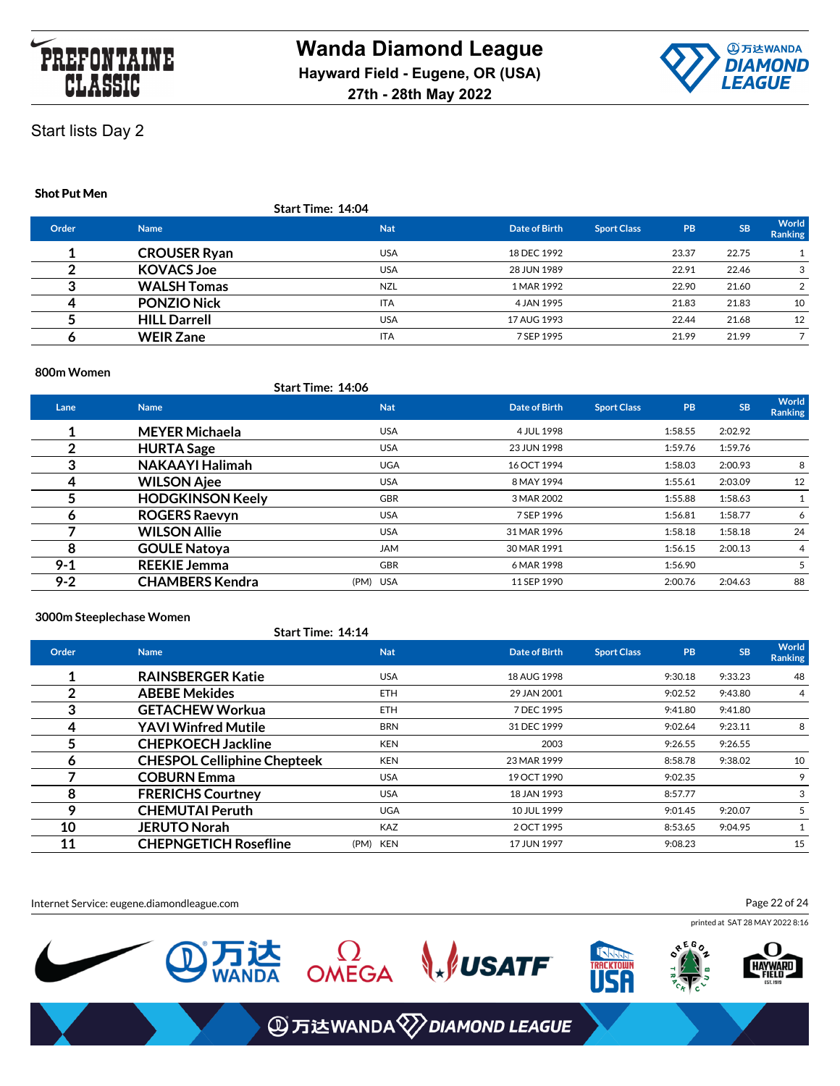



#### **Shot Put Men**

|       |                     | Start Time: 14:04 |               |                    |           |           |                         |
|-------|---------------------|-------------------|---------------|--------------------|-----------|-----------|-------------------------|
| Order | <b>Name</b>         | <b>Nat</b>        | Date of Birth | <b>Sport Class</b> | <b>PB</b> | <b>SB</b> | World<br><b>Ranking</b> |
|       | <b>CROUSER Ryan</b> | <b>USA</b>        | 18 DEC 1992   |                    | 23.37     | 22.75     |                         |
|       | <b>KOVACS Joe</b>   | <b>USA</b>        | 28 JUN 1989   |                    | 22.91     | 22.46     | 3                       |
|       | <b>WALSH Tomas</b>  | <b>NZL</b>        | 1 MAR 1992    |                    | 22.90     | 21.60     | 2                       |
| л     | <b>PONZIO Nick</b>  | <b>ITA</b>        | 4 JAN 1995    |                    | 21.83     | 21.83     | 10                      |
|       | <b>HILL Darrell</b> | <b>USA</b>        | 17 AUG 1993   |                    | 22.44     | 21.68     | 12                      |
|       | <b>WEIR Zane</b>    | <b>ITA</b>        | 7 SEP 1995    |                    | 21.99     | 21.99     |                         |
|       |                     |                   |               |                    |           |           |                         |

#### **800m Women**

#### **Start Time: 14:06**

| Lane    | <b>Name</b>             | <b>Nat</b> | Date of Birth | <b>Sport Class</b> | <b>PB</b> | <b>SB</b> | World<br>Ranking |
|---------|-------------------------|------------|---------------|--------------------|-----------|-----------|------------------|
|         | <b>MEYER Michaela</b>   | <b>USA</b> | 4 JUL 1998    |                    | 1:58.55   | 2:02.92   |                  |
|         | <b>HURTA Sage</b>       | <b>USA</b> | 23 JUN 1998   |                    | 1:59.76   | 1:59.76   |                  |
| 3       | <b>NAKAAYI Halimah</b>  | <b>UGA</b> | 16 OCT 1994   |                    | 1:58.03   | 2:00.93   | 8                |
| 4       | <b>WILSON Ajee</b>      | <b>USA</b> | 8 MAY 1994    |                    | 1:55.61   | 2:03.09   | 12               |
|         | <b>HODGKINSON Keely</b> | <b>GBR</b> | 3 MAR 2002    |                    | 1:55.88   | 1:58.63   |                  |
| n       | <b>ROGERS Raevyn</b>    | <b>USA</b> | 7 SEP 1996    |                    | 1:56.81   | 1:58.77   | 6                |
|         | <b>WILSON Allie</b>     | <b>USA</b> | 31 MAR 1996   |                    | 1:58.18   | 1:58.18   | 24               |
| 8       | <b>GOULE Natoya</b>     | <b>JAM</b> | 30 MAR 1991   |                    | 1:56.15   | 2:00.13   | 4                |
| $9 - 1$ | <b>REEKIE Jemma</b>     | <b>GBR</b> | 6 MAR 1998    |                    | 1:56.90   |           | 5                |
| $9 - 2$ | <b>CHAMBERS Kendra</b>  | (PM) USA   | 11 SEP 1990   |                    | 2:00.76   | 2:04.63   | 88               |

#### **3000m Steeplechase Women**

**Start Time: 14:14**

| Order | <b>Name</b>                        | <b>Nat</b> | Date of Birth | <b>Sport Class</b> | <b>PB</b> | <b>SB</b> | World<br>Ranking |
|-------|------------------------------------|------------|---------------|--------------------|-----------|-----------|------------------|
|       | <b>RAINSBERGER Katie</b>           | <b>USA</b> | 18 AUG 1998   |                    | 9:30.18   | 9:33.23   | 48               |
|       | <b>ABEBE Mekides</b>               | <b>ETH</b> | 29 JAN 2001   |                    | 9:02.52   | 9:43.80   | 4                |
| 3     | <b>GETACHEW Workua</b>             | <b>ETH</b> | 7 DEC 1995    |                    | 9:41.80   | 9:41.80   |                  |
| 4     | <b>YAVI Winfred Mutile</b>         | <b>BRN</b> | 31 DEC 1999   |                    | 9:02.64   | 9:23.11   | 8                |
|       | <b>CHEPKOECH Jackline</b>          | <b>KEN</b> | 2003          |                    | 9:26.55   | 9:26.55   |                  |
| n     | <b>CHESPOL Celliphine Chepteek</b> | <b>KEN</b> | 23 MAR 1999   |                    | 8:58.78   | 9:38.02   | 10               |
|       | <b>COBURN Emma</b>                 | <b>USA</b> | 19 OCT 1990   |                    | 9:02.35   |           | 9                |
| 8     | <b>FRERICHS Courtney</b>           | <b>USA</b> | 18 JAN 1993   |                    | 8:57.77   |           | 3                |
|       | <b>CHEMUTAI Peruth</b>             | <b>UGA</b> | 10 JUL 1999   |                    | 9:01.45   | 9:20.07   | 5                |
| 10    | <b>JERUTO Norah</b>                | <b>KAZ</b> | 2 OCT 1995    |                    | 8:53.65   | 9:04.95   |                  |
| 11    | <b>CHEPNGETICH Rosefline</b>       | (PM) KEN   | 17 JUN 1997   |                    | 9:08.23   |           | 15               |

Internet Service: eugene.diamondleague.com

Page 22 of 24

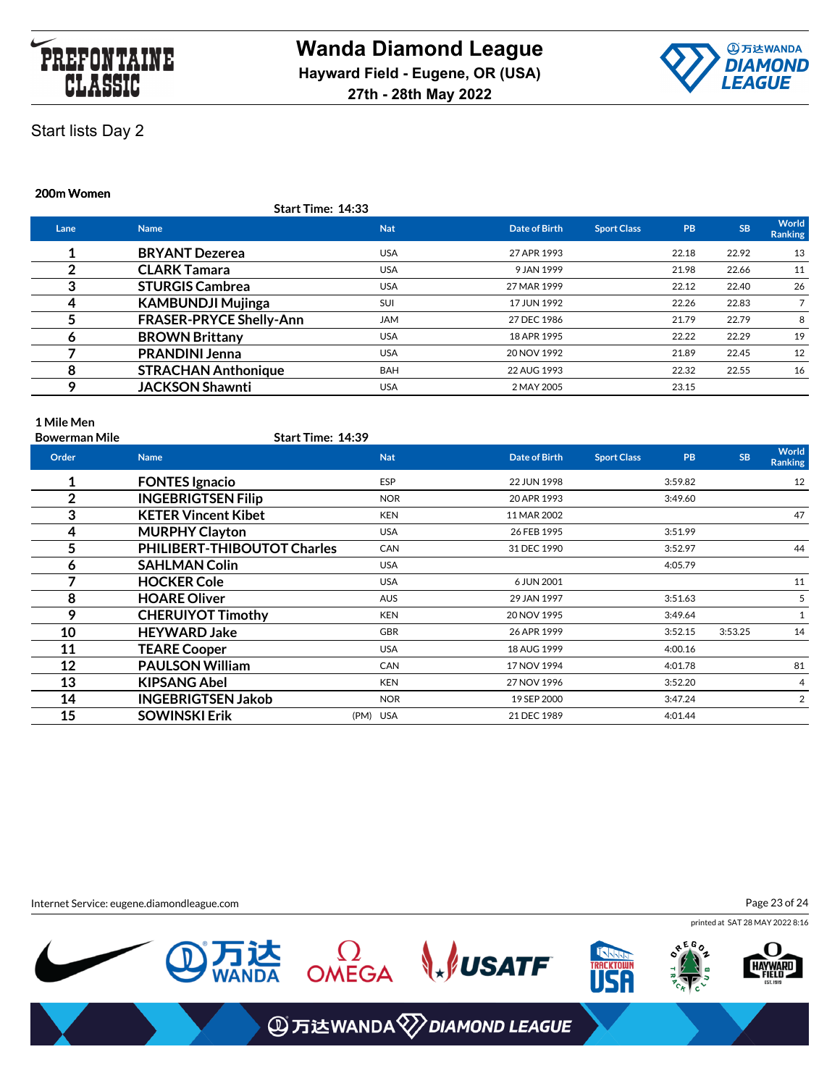



### **200m Women**

|      | Start Time: 14:33              |            |               |                    |           |           |                  |
|------|--------------------------------|------------|---------------|--------------------|-----------|-----------|------------------|
| Lane | <b>Name</b>                    | <b>Nat</b> | Date of Birth | <b>Sport Class</b> | <b>PB</b> | <b>SB</b> | World<br>Ranking |
|      | <b>BRYANT Dezerea</b>          | <b>USA</b> | 27 APR 1993   |                    | 22.18     | 22.92     | 13               |
| っ    | <b>CLARK Tamara</b>            | <b>USA</b> | 9 JAN 1999    |                    | 21.98     | 22.66     | 11               |
| 3    | <b>STURGIS Cambrea</b>         | <b>USA</b> | 27 MAR 1999   |                    | 22.12     | 22.40     | 26               |
| 4    | <b>KAMBUNDJI Mujinga</b>       | SUI        | 17 JUN 1992   |                    | 22.26     | 22.83     |                  |
|      | <b>FRASER-PRYCE Shelly-Ann</b> | <b>JAM</b> | 27 DEC 1986   |                    | 21.79     | 22.79     | 8                |
| 6    | <b>BROWN Brittany</b>          | <b>USA</b> | 18 APR 1995   |                    | 22.22     | 22.29     | 19               |
|      | <b>PRANDINI Jenna</b>          | <b>USA</b> | 20 NOV 1992   |                    | 21.89     | 22.45     | 12               |
| 8    | <b>STRACHAN Anthonique</b>     | <b>BAH</b> | 22 AUG 1993   |                    | 22.32     | 22.55     | 16               |
| Q    | <b>JACKSON Shawnti</b>         | <b>USA</b> | 2 MAY 2005    |                    | 23.15     |           |                  |

### **1 Mile Men**

| <b>Bowerman Mile</b> | Start Time: 14:39                  |            |               |                    |           |           |                         |
|----------------------|------------------------------------|------------|---------------|--------------------|-----------|-----------|-------------------------|
| Order                | <b>Name</b>                        | <b>Nat</b> | Date of Birth | <b>Sport Class</b> | <b>PB</b> | <b>SB</b> | World<br><b>Ranking</b> |
| 1                    | <b>FONTES Ignacio</b>              | <b>ESP</b> | 22 JUN 1998   |                    | 3:59.82   |           | 12                      |
| $\overline{2}$       | <b>INGEBRIGTSEN Filip</b>          | <b>NOR</b> | 20 APR 1993   |                    | 3:49.60   |           |                         |
| 3                    | <b>KETER Vincent Kibet</b>         | <b>KEN</b> | 11 MAR 2002   |                    |           |           | 47                      |
| 4                    | <b>MURPHY Clayton</b>              | <b>USA</b> | 26 FEB 1995   |                    | 3:51.99   |           |                         |
| 5                    | <b>PHILIBERT-THIBOUTOT Charles</b> | CAN        | 31 DEC 1990   |                    | 3:52.97   |           | 44                      |
| 6                    | <b>SAHLMAN Colin</b>               | <b>USA</b> |               |                    | 4:05.79   |           |                         |
|                      | <b>HOCKER Cole</b>                 | <b>USA</b> | 6 JUN 2001    |                    |           |           | 11                      |
| 8                    | <b>HOARE Oliver</b>                | <b>AUS</b> | 29 JAN 1997   |                    | 3:51.63   |           | 5                       |
| 9                    | <b>CHERUIYOT Timothy</b>           | <b>KEN</b> | 20 NOV 1995   |                    | 3:49.64   |           | 1                       |
| 10                   | <b>HEYWARD Jake</b>                | <b>GBR</b> | 26 APR 1999   |                    | 3:52.15   | 3:53.25   | 14                      |
| 11                   | <b>TEARE Cooper</b>                | <b>USA</b> | 18 AUG 1999   |                    | 4:00.16   |           |                         |
| 12                   | <b>PAULSON William</b>             | <b>CAN</b> | 17 NOV 1994   |                    | 4:01.78   |           | 81                      |
| 13                   | <b>KIPSANG Abel</b>                | <b>KEN</b> | 27 NOV 1996   |                    | 3:52.20   |           | 4                       |
| 14                   | <b>INGEBRIGTSEN Jakob</b>          | <b>NOR</b> | 19 SEP 2000   |                    | 3:47.24   |           | $\overline{2}$          |
| 15                   | <b>SOWINSKI Erik</b>               | (PM) USA   | 21 DEC 1989   |                    | 4:01.44   |           |                         |
|                      |                                    |            |               |                    |           |           |                         |

Internet Service: eugene.diamondleague.com

Page 23 of 24